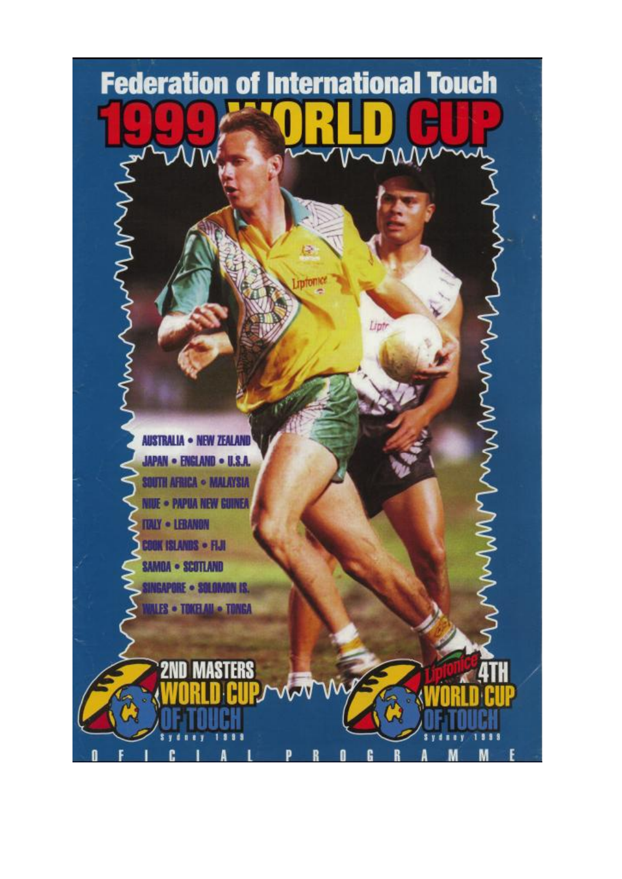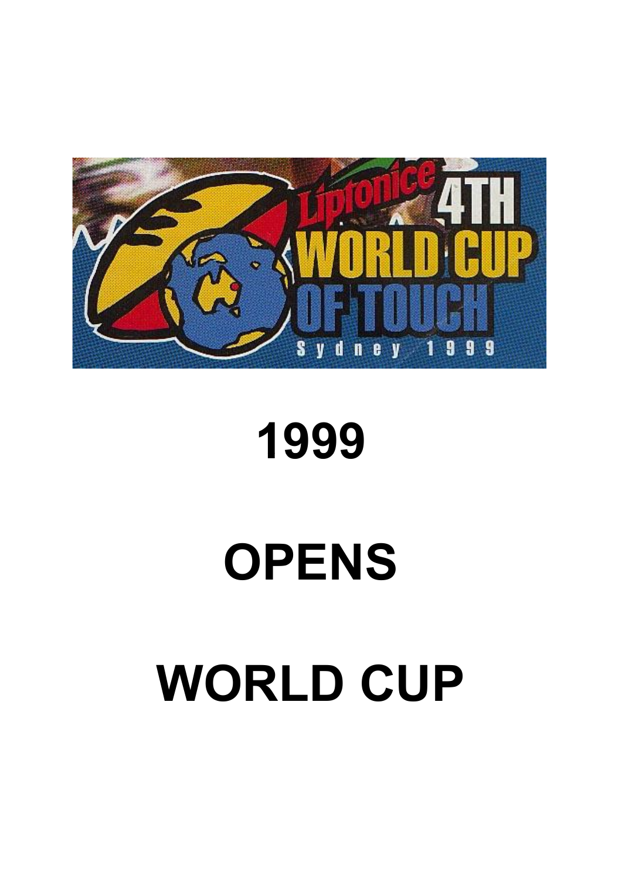# **WORLD CUP**

**OPENS**

## **1999**

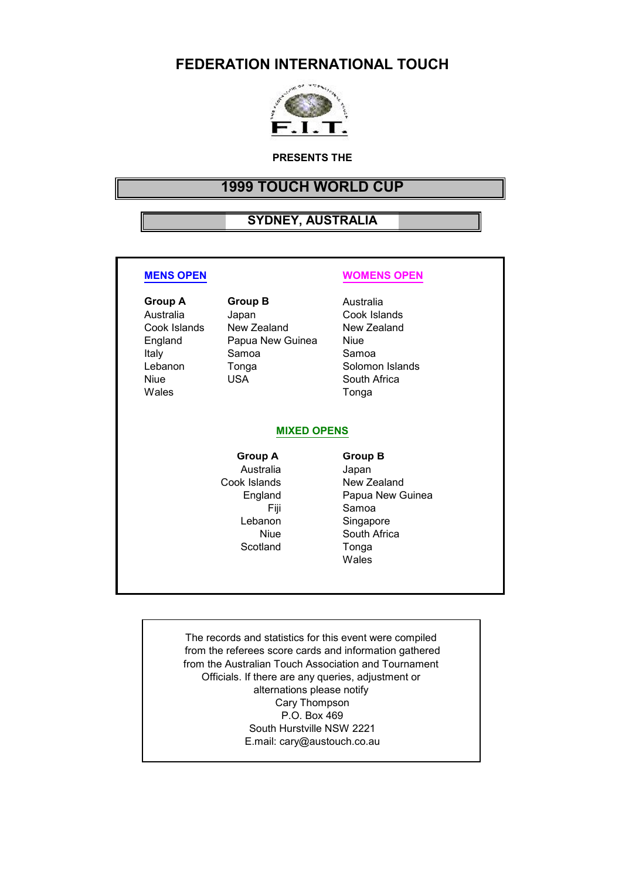#### **FEDERATION INTERNATIONAL TOUCH**



#### **PRESENTS THE**

#### **1999 TOUCH WORLD CUP**

#### **SYDNEY, AUSTRALIA**

Italy Samoa Wales **Tonga** 

**Group A Group B** Australia Australia Japan Cook Islands<br>Cook Islands New Zealand New Zealand Cook Islands New Zealand England Papua New Guinea Niue<br>Italy Samoa Samoa Samoa Lebanon Tonga Solomon Islands

#### **MENS OPEN WOMENS OPEN**

South Africa

#### **MIXED OPENS**

**Group A Group B** Australia Japan Fiji Samoa<br>Lebanon Singapo Scotland

### Cook Islands New Zealand England Papua New Guinea Singapore Niue South Africa<br> **South Africa**<br>
Tonga Wales

The records and statistics for this event were compiled from the referees score cards and information gathered from the Australian Touch Association and Tournament Officials. If there are any queries, adjustment or alternations please notify Cary Thompson P.O. Box 469 South Hurstville NSW 2221 E.mail: cary@austouch.co.au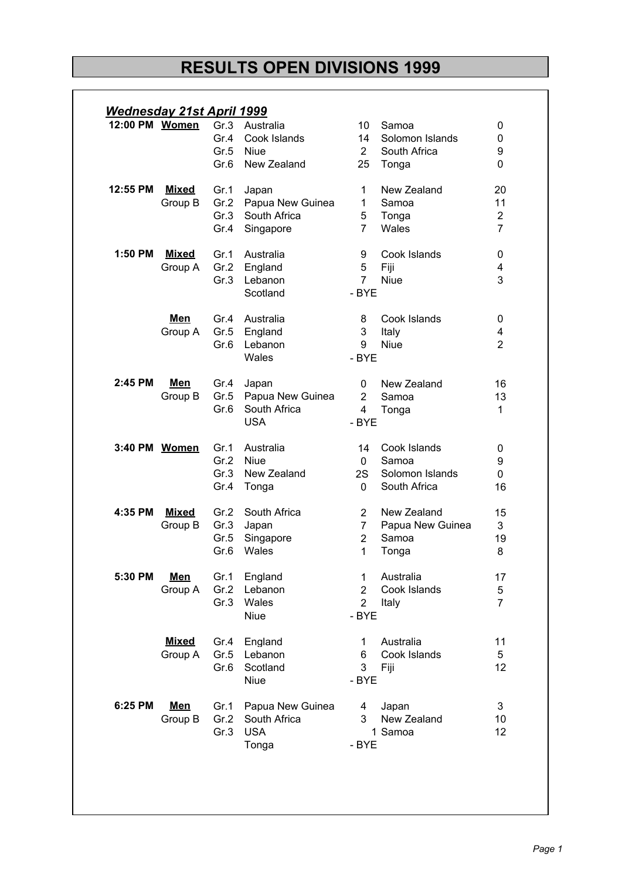### **RESULTS OPEN DIVISIONS 1999**

|          | 12:00 PM Women |      | <b>Wednesday 21st April 1999</b><br>Gr.3 Australia | 10             | Samoa            | 0              |
|----------|----------------|------|----------------------------------------------------|----------------|------------------|----------------|
|          |                | Gr.4 | Cook Islands                                       | 14             | Solomon Islands  | 0              |
|          |                |      | Gr.5 Niue                                          | $\mathbf{2}$   | South Africa     | 9              |
|          |                | Gr.6 | New Zealand                                        | 25             | Tonga            | 0              |
| 12:55 PM | <b>Mixed</b>   | Gr.1 | Japan                                              | 1.             | New Zealand      | 20             |
|          | Group B        | Gr.2 | Papua New Guinea                                   | 1              | Samoa            | 11             |
|          |                | Gr.3 | South Africa                                       | 5              | Tonga            | $\overline{2}$ |
|          |                | Gr.4 | Singapore                                          | $\overline{7}$ | Wales            | $\overline{7}$ |
| 1:50 PM  | <b>Mixed</b>   | Gr.1 | Australia                                          | 9              | Cook Islands     | 0              |
|          | Group A        |      | Gr.2 England                                       | 5              | Fiji             | 4              |
|          |                | Gr.3 | Lebanon                                            | $\overline{7}$ | <b>Niue</b>      | 3              |
|          |                |      | Scotland                                           | - BYE          |                  |                |
|          | <u>Men</u>     |      | Gr.4 Australia                                     | 8              | Cook Islands     | 0              |
|          | Group A        |      | Gr.5 England                                       | 3              | Italy            | 4              |
|          |                | Gr.6 | Lebanon                                            | 9              | <b>Niue</b>      | $\overline{2}$ |
|          |                |      | Wales                                              | - BYE          |                  |                |
| 2:45 PM  | <u>Men</u>     | Gr.4 | Japan                                              | 0              | New Zealand      | 16             |
|          | Group B        | Gr.5 | Papua New Guinea                                   | 2              | Samoa            | 13             |
|          |                | Gr.6 | South Africa                                       | $\overline{4}$ | Tonga            | 1              |
|          |                |      | <b>USA</b>                                         | - BYE          |                  |                |
|          | 3:40 PM Women  | Gr.1 | Australia                                          | 14             | Cook Islands     | 0              |
|          |                | Gr.2 | <b>Niue</b>                                        | $\mathbf{0}$   | Samoa            | 9              |
|          |                | Gr.3 | New Zealand                                        | 2S             | Solomon Islands  | 0              |
|          |                | Gr.4 | Tonga                                              | $\mathbf{0}$   | South Africa     | 16             |
| 4:35 PM  | <b>Mixed</b>   | Gr.2 | South Africa                                       | $\overline{2}$ | New Zealand      | 15             |
|          | Group B        |      | Gr.3 Japan                                         | $\overline{7}$ | Papua New Guinea | 3              |
|          |                |      | Gr.5 Singapore                                     | $\overline{2}$ | Samoa            | 19             |
|          |                | Gr.6 | Wales                                              | 1              | Tonga            | 8              |
| 5:30 PM  | <b>Men</b>     | Gr.1 | England                                            | 1              | Australia        | 17             |
|          | Group A        | Gr.2 | Lebanon                                            | $\overline{2}$ | Cook Islands     | 5              |
|          |                | Gr.3 | Wales                                              | $\overline{2}$ | Italy            | $\overline{7}$ |
|          |                |      | Niue                                               | - BYE          |                  |                |
|          | <b>Mixed</b>   | Gr.4 | England                                            | 1.             | Australia        | 11             |
|          | Group A        | Gr.5 | Lebanon                                            | 6              | Cook Islands     | 5              |
|          |                | Gr.6 | Scotland                                           | 3              | Fiji             | 12             |
|          |                |      | Niue                                               | - BYE          |                  |                |
| 6:25 PM  | Men            | Gr.1 | Papua New Guinea                                   | 4              | Japan            | 3              |
|          | Group B        | Gr.2 | South Africa                                       | 3              | New Zealand      | 10             |
|          |                | Gr.3 | <b>USA</b>                                         |                | 1 Samoa          | 12             |
|          |                |      | Tonga                                              | - BYE          |                  |                |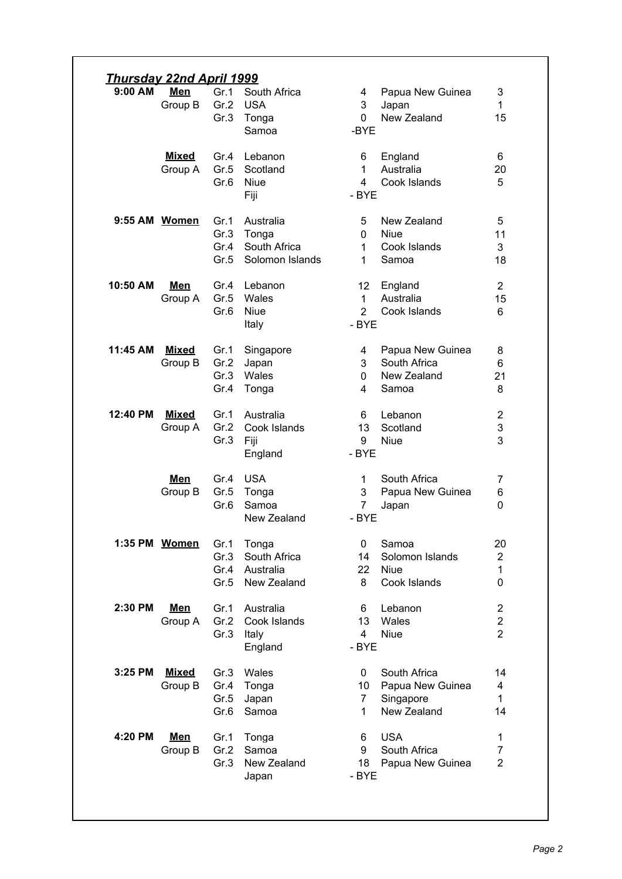| $9:00$ AM | <u>Men</u>              | Gr.1         | South Africa              | Papua New Guinea<br>4                                       | 3                                |
|-----------|-------------------------|--------------|---------------------------|-------------------------------------------------------------|----------------------------------|
|           | Group B                 | Gr.2<br>Gr.3 | <b>USA</b><br>Tonga       | 3<br>Japan<br>New Zealand<br>$\mathbf{0}$                   | 1<br>15                          |
|           |                         |              | Samoa                     | -BYE                                                        |                                  |
|           | <b>Mixed</b>            | Gr.4         | Lebanon                   | 6<br>England                                                | 6                                |
|           | Group A                 | Gr.5<br>Gr.6 | Scotland<br><b>Niue</b>   | Australia<br>1<br>Cook Islands<br>4                         | 20<br>5                          |
|           |                         |              | Fiji                      | - BYE                                                       |                                  |
|           | 9:55 AM Women           | Gr.1         | Australia                 | New Zealand<br>5                                            | 5                                |
|           |                         | Gr.3<br>Gr.4 | Tonga<br>South Africa     | <b>Niue</b><br>$\mathbf{0}$<br>Cook Islands<br>1            | 11<br>3                          |
|           |                         | Gr.5         | Solomon Islands           | Samoa<br>1                                                  | 18                               |
| 10:50 AM  | <u>Men</u>              |              | Gr.4 Lebanon              | 12 <sup>2</sup><br>England                                  | $\overline{2}$                   |
|           | Group A                 | Gr.5<br>Gr.6 | Wales<br><b>Niue</b>      | Australia<br>$\mathbf{1}$<br>Cook Islands<br>$\overline{2}$ | 15<br>6                          |
|           |                         |              | Italy                     | - BYE                                                       |                                  |
| 11:45 AM  | <b>Mixed</b><br>Group B | Gr.1<br>Gr.2 | Singapore<br>Japan        | Papua New Guinea<br>4<br>South Africa<br>3                  | 8<br>6                           |
|           |                         | Gr.3         | Wales                     | New Zealand<br>$\mathbf{0}$                                 | 21                               |
|           |                         | Gr.4         | Tonga                     | 4<br>Samoa                                                  | 8                                |
| 12:40 PM  | <b>Mixed</b><br>Group A | Gr.1<br>Gr.2 | Australia<br>Cook Islands | Lebanon<br>6<br>Scotland<br>13                              | $\overline{2}$<br>3              |
|           |                         | Gr.3         | Fiji                      | 9<br><b>Niue</b>                                            | 3                                |
|           |                         |              | England                   | - BYE                                                       |                                  |
|           | <u>Men</u><br>Group B   | Gr.4<br>Gr.5 | <b>USA</b><br>Tonga       | South Africa<br>1<br>3<br>Papua New Guinea                  | 7<br>6                           |
|           |                         | Gr.6         | Samoa                     | $\overline{7}$<br>Japan                                     | 0                                |
|           |                         |              | New Zealand               | - BYE                                                       |                                  |
|           | 1:35 PM Women           | Gr.1<br>Gr.3 | Tonga<br>South Africa     | 0<br>Samoa<br>Solomon Islands<br>14                         | 20<br>$\overline{2}$             |
|           |                         | Gr.4         | Australia                 | 22<br><b>Niue</b>                                           | 1                                |
|           |                         | Gr.5         | New Zealand               | 8<br>Cook Islands                                           | 0                                |
| 2:30 PM   | <u>Men</u><br>Group A   | Gr.1<br>Gr.2 | Australia<br>Cook Islands | Lebanon<br>6<br>Wales<br>13                                 | $\overline{2}$<br>$\overline{2}$ |
|           |                         | Gr.3         | Italy                     | <b>Niue</b><br>$\overline{4}$                               | $\overline{2}$                   |
|           |                         |              | England                   | - BYE                                                       |                                  |
| 3:25 PM   | <b>Mixed</b><br>Group B | Gr.3<br>Gr.4 | Wales<br>Tonga            | South Africa<br>0<br>Papua New Guinea<br>10                 | 14<br>4                          |
|           |                         | Gr.5         | Japan                     | Singapore<br>$\overline{7}$                                 | $\mathbf{1}$                     |
|           |                         | Gr.6         | Samoa                     | New Zealand<br>$\mathbf{1}$                                 | 14                               |
| 4:20 PM   | <u>Men</u><br>Group B   | Gr.1<br>Gr.2 | Tonga<br>Samoa            | <b>USA</b><br>6<br>South Africa<br>9                        | 1<br>7                           |
|           |                         | Gr.3         | New Zealand               | Papua New Guinea<br>18                                      | $\overline{2}$                   |
|           |                         |              | Japan                     | - BYE                                                       |                                  |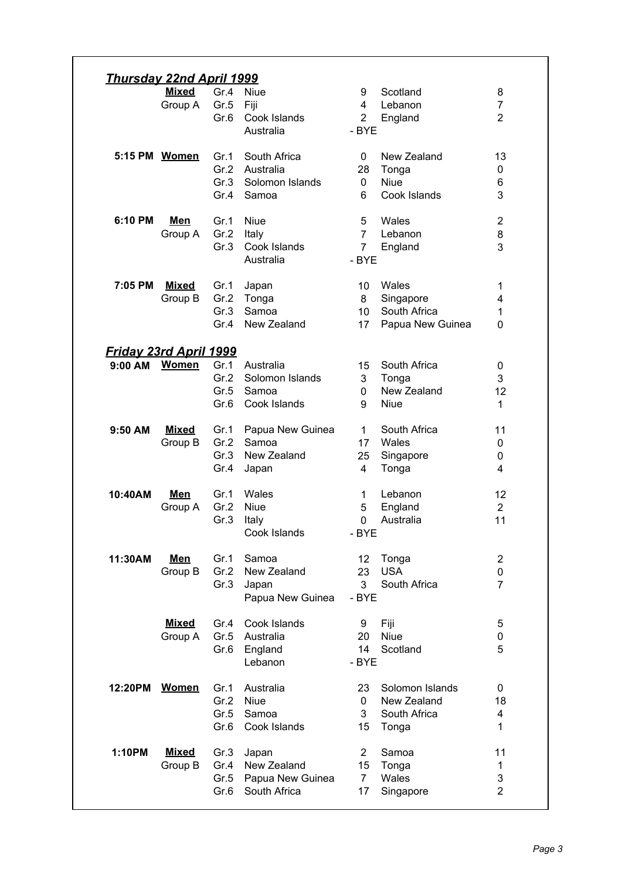|                               | <u>Thursday 22nd April 1999</u><br>Mixed | Gr.4         | <b>Niue</b>      | 9              | Scotland         | 8              |
|-------------------------------|------------------------------------------|--------------|------------------|----------------|------------------|----------------|
|                               | Group A                                  | Gr.5         | Fiji             | 4              | Lebanon          | 7              |
|                               |                                          | Gr.6         | Cook Islands     | $\overline{2}$ | England          | $\overline{2}$ |
|                               |                                          |              | Australia        | - BYE          |                  |                |
| 5:15 PM Women                 |                                          |              |                  |                |                  |                |
|                               |                                          | Gr.1<br>Gr.2 | South Africa     | 0              | New Zealand      | 13             |
|                               |                                          |              | Australia        | 28             | Tonga            | 0              |
|                               |                                          | Gr.3         | Solomon Islands  | $\mathbf{0}$   | <b>Niue</b>      | 6              |
|                               |                                          | Gr.4         | Samoa            | 6              | Cook Islands     | 3              |
| 6:10 PM                       | <u>Men</u>                               | Gr.1         | <b>Niue</b>      | 5              | Wales            | $\overline{2}$ |
|                               | Group A                                  | Gr.2         | Italy            | $\overline{7}$ | Lebanon          | 8              |
|                               |                                          | Gr.3         | Cook Islands     | $\overline{7}$ | England          | 3              |
|                               |                                          |              | Australia        | - BYE          |                  |                |
| 7:05 PM                       | <b>Mixed</b>                             | Gr.1         | Japan            | 10             | Wales            | 1              |
|                               | Group B                                  | Gr.2         | Tonga            | 8              | Singapore        | 4              |
|                               |                                          | Gr.3         | Samoa            | 10             | South Africa     | 1              |
|                               |                                          | Gr.4         | New Zealand      | 17             | Papua New Guinea | 0              |
|                               |                                          |              |                  |                |                  |                |
| <u>Friday 23rd April 1999</u> |                                          |              |                  |                |                  |                |
| 9:00 AM                       | <b>Women</b>                             | Gr.1         | Australia        | 15             | South Africa     | 0              |
|                               |                                          | Gr.2         | Solomon Islands  | 3              | Tonga            | 3              |
|                               |                                          | Gr.5         | Samoa            | $\mathbf{0}$   | New Zealand      | 12             |
|                               |                                          | Gr.6         | Cook Islands     | 9              | <b>Niue</b>      | 1              |
| 9:50 AM                       | <b>Mixed</b>                             | Gr.1         | Papua New Guinea | $\mathbf{1}$   | South Africa     | 11             |
|                               | Group B                                  | Gr.2         | Samoa            | 17             | Wales            | 0              |
|                               |                                          | Gr.3         | New Zealand      | 25             | Singapore        | 0              |
|                               |                                          | Gr.4         | Japan            | 4              | Tonga            | 4              |
| 10:40AM                       | Men                                      | Gr.1         | Wales            | $\mathbf{1}$   | Lebanon          | 12             |
|                               | Group A                                  | Gr.2         | <b>Niue</b>      | 5              | England          | $\overline{2}$ |
|                               |                                          | Gr.3         | Italy            | 0              | Australia        | 11             |
|                               |                                          |              | Cook Islands     | - BYE          |                  |                |
| 11:30AM                       | <b>Men</b>                               | Gr.1         | Samoa            | 12             | Tonga            | 2              |
|                               | Group B                                  | Gr.2         | New Zealand      | 23             | <b>USA</b>       | 0              |
|                               |                                          | Gr.3         | Japan            | 3              | South Africa     | 7              |
|                               |                                          |              | Papua New Guinea | - BYE          |                  |                |
|                               | <b>Mixed</b>                             | Gr.4         | Cook Islands     | 9              | Fiji             | 5              |
|                               |                                          |              |                  | 20             | <b>Niue</b>      | 0              |
|                               |                                          |              |                  |                |                  |                |
|                               | Group A                                  | Gr.5         | Australia        |                |                  |                |
|                               |                                          | Gr.6         | England          | 14             | Scotland         | 5              |
|                               |                                          |              | Lebanon          | - BYE          |                  |                |
| 12:20PM                       | <b>Women</b>                             | Gr.1         | Australia        | 23             | Solomon Islands  | 0              |
|                               |                                          | Gr.2         | <b>Niue</b>      | $\mathbf{0}$   | New Zealand      | 18             |
|                               |                                          | Gr.5         | Samoa            | 3              | South Africa     | 4              |
|                               |                                          | Gr.6         | Cook Islands     | 15             | Tonga            | 1              |
| 1:10PM                        | <b>Mixed</b>                             | Gr.3         | Japan            | $\overline{2}$ | Samoa            | 11             |
|                               | Group B                                  | Gr.4         | New Zealand      | 15             | Tonga            | 1              |
|                               |                                          | Gr.5         | Papua New Guinea | $\overline{7}$ | Wales            | 3              |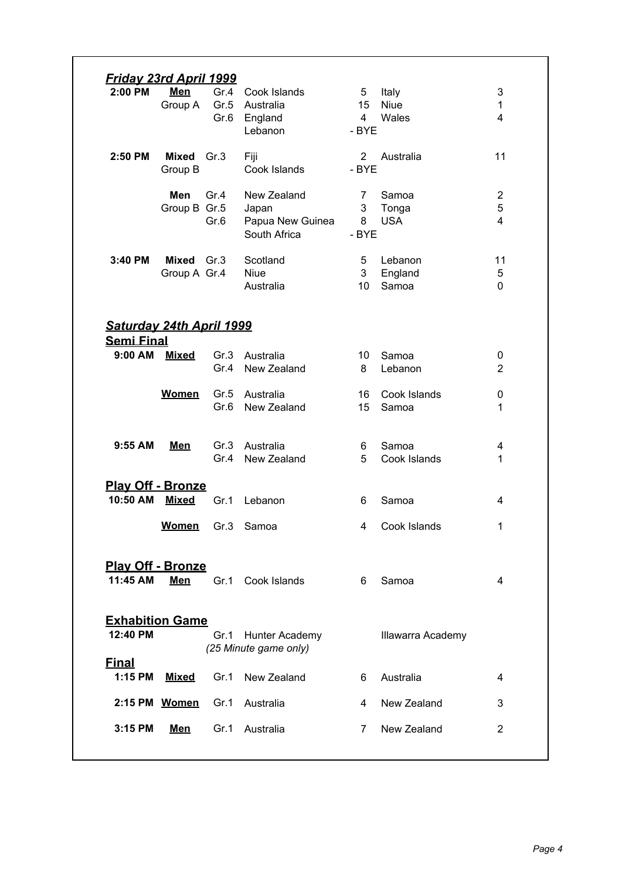| <u>Friday 23rd April 1999</u>                 |                            |                      |                                                          |                                    |                               |                                     |
|-----------------------------------------------|----------------------------|----------------------|----------------------------------------------------------|------------------------------------|-------------------------------|-------------------------------------|
| 2:00 PM                                       | <b>Men</b><br>Group A      | Gr.4<br>Gr.5<br>Gr.6 | Cook Islands<br>Australia<br>England<br>Lebanon          | 5<br>15<br>$\overline{4}$<br>- BYE | Italy<br><b>Niue</b><br>Wales | 3<br>$\mathbf{1}$<br>$\overline{4}$ |
| 2:50 PM                                       | Mixed<br>Group B           | Gr.3                 | Fiji<br>Cook Islands                                     | $\overline{2}$<br>- BYE            | Australia                     | 11                                  |
|                                               | Men<br>Group B Gr.5        | Gr.4<br>Gr.6         | New Zealand<br>Japan<br>Papua New Guinea<br>South Africa | 7<br>3<br>8<br>- BYE               | Samoa<br>Tonga<br><b>USA</b>  | $\overline{2}$<br>5<br>4            |
| 3:40 PM                                       | Mixed Gr.3<br>Group A Gr.4 |                      | Scotland<br><b>Niue</b><br>Australia                     | 5<br>3<br>10                       | Lebanon<br>England<br>Samoa   | 11<br>5<br>$\mathbf{0}$             |
| Saturday 24th April 1999<br><b>Semi Final</b> |                            |                      |                                                          |                                    |                               |                                     |
| 9:00 AM                                       | <b>Mixed</b>               | Gr.3<br>Gr.4         | Australia<br>New Zealand                                 | 10<br>8                            | Samoa<br>Lebanon              | 0<br>$\overline{2}$                 |
|                                               | <b>Women</b>               | Gr.5<br>Gr.6         | Australia<br>New Zealand                                 | 16<br>15                           | Cook Islands<br>Samoa         | 0<br>1                              |
| $9:55$ AM                                     | <b>Men</b>                 | Gr.3<br>Gr.4         | Australia<br>New Zealand                                 | 6<br>5                             | Samoa<br>Cook Islands         | 4<br>1                              |
| <b>Play Off - Bronze</b><br>10:50 AM          | <b>Mixed</b>               | Gr.1                 | Lebanon                                                  | 6                                  | Samoa                         | 4                                   |
|                                               | Women                      |                      | Gr.3 Samoa                                               | 4                                  | Cook Islands                  | 1                                   |
| <b>Play Off - Bronze</b><br>11:45 AM          | <b>Men</b>                 | Gr.1                 | Cook Islands                                             | 6                                  | Samoa                         | 4                                   |
| <b>Exhabition Game</b><br>12:40 PM            |                            | Gr.1                 | Hunter Academy<br>(25 Minute game only)                  |                                    | Illawarra Academy             |                                     |
| <b>Final</b><br>1:15 PM                       | <b>Mixed</b>               | Gr.1                 | New Zealand                                              | 6                                  | Australia                     | 4                                   |
|                                               | 2:15 PM Women              | Gr.1                 | Australia                                                | 4                                  | New Zealand                   | 3                                   |
|                                               |                            |                      |                                                          |                                    |                               |                                     |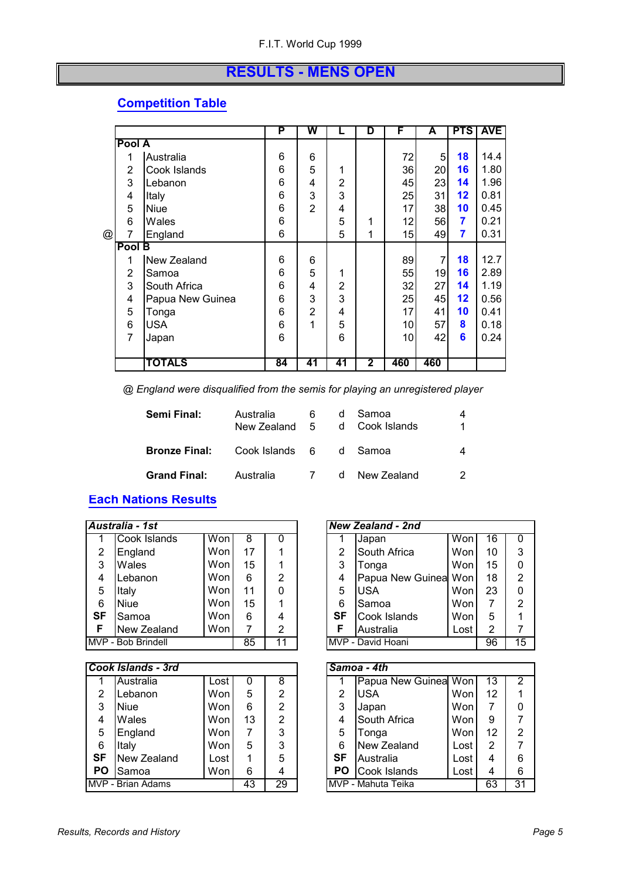#### **RESULTS - MENS OPEN**

#### **Competition Table**

|   |        |                  | P  | W  |                | D            | F   | A   | <b>PTS</b> | <b>AVE</b> |
|---|--------|------------------|----|----|----------------|--------------|-----|-----|------------|------------|
|   | Pool A |                  |    |    |                |              |     |     |            |            |
|   | 1      | Australia        | 6  | 6  |                |              | 72  | 5   | 18         | 14.4       |
|   | 2      | Cook Islands     | 6  | 5  | 1              |              | 36  | 20  | 16         | 1.80       |
|   | 3      | Lebanon          | 6  | 4  | $\overline{2}$ |              | 45  | 23  | 14         | 1.96       |
|   | 4      | Italy            | 6  | 3  | 3              |              | 25  | 31  | 12         | 0.81       |
|   | 5      | <b>Niue</b>      | 6  | 2  | 4              |              | 17  | 38  | 10         | 0.45       |
|   | 6      | Wales            | 6  |    | 5              | 1            | 12  | 56  | 7          | 0.21       |
| @ |        | England          | 6  |    | 5              | 1            | 15  | 49  | 7          | 0.31       |
|   | Pool B |                  |    |    |                |              |     |     |            |            |
|   | 1      | New Zealand      | 6  | 6  |                |              | 89  | 7   | 18         | 12.7       |
|   | 2      | Samoa            | 6  | 5  | 1              |              | 55  | 19  | 16         | 2.89       |
|   | 3      | South Africa     | 6  | 4  | $\overline{2}$ |              | 32  | 27  | 14         | 1.19       |
|   | 4      | Papua New Guinea | 6  | 3  | 3              |              | 25  | 45  | 12         | 0.56       |
|   | 5      | Tonga            | 6  | 2  | 4              |              | 17  | 41  | 10         | 0.41       |
|   | 6      | <b>USA</b>       | 6  | 1  | 5              |              | 10  | 57  | 8          | 0.18       |
|   | 7      | Japan            | 6  |    | 6              |              | 10  | 42  | 6          | 0.24       |
|   |        |                  |    |    |                |              |     |     |            |            |
|   |        | <b>TOTALS</b>    | 84 | 41 | 41             | $\mathbf{2}$ | 460 | 460 |            |            |

 *@ England were disqualified from the semis for playing an unregistered player*

| Semi Final:          | Australia<br>New Zealand 5 | 6 | d | Samoa<br>d Cook Islands |  |
|----------------------|----------------------------|---|---|-------------------------|--|
| <b>Bronze Final:</b> | Cook Islands 6 d Samoa     |   |   |                         |  |
| <b>Grand Final:</b>  | Australia                  | 7 |   | d New Zealand           |  |

#### **Each Nations Results**

|           | Australia - 1st    |     |    |    |           | <b>New Zealand - 2nd</b> |      |    |                |
|-----------|--------------------|-----|----|----|-----------|--------------------------|------|----|----------------|
|           | Cook Islands       | Won | 8  | 0  |           | Japan                    | Won  | 16 | $\mathbf{0}$   |
| 2         | England            | Won | 17 |    | 2         | South Africa             | Won  | 10 | 3              |
| 3         | Wales              | Won | 15 |    | 3         | Tonga                    | Wonl | 15 | $\Omega$       |
| 4         | Lebanon            | Won | 6  | 2  | 4         | Papua New Guinea Won     |      | 18 | 2              |
| 5         | Italy              | Won | 11 | 0  | 5         | <b>IUSA</b>              | Wonl | 23 | $\Omega$       |
| 6         | Niue               | Won | 15 |    | 6         | ISamoa                   | Won  |    | $\overline{2}$ |
| <b>SF</b> | Samoa              | Won | 6  | 4  | <b>SF</b> | Cook Islands             | Won  | 5  | 1              |
| F         | New Zealand        | Won | 7  | 2  | F         | Australia                | Lost | 2  | 7              |
|           | MVP - Bob Brindell |     | 85 | 11 |           | MVP - David Hoani        |      | 96 | 15             |

|           | <b>Cook Islands - 3rd</b> |      |    |    | Samoa - 4th |                      |      |    |                |
|-----------|---------------------------|------|----|----|-------------|----------------------|------|----|----------------|
|           | Australia                 | Lost |    | 8  |             | Papua New Guinea Won |      | 13 | 2              |
| 2         | Lebanon                   | Won  | 5  | 2  | 2           | <b>USA</b>           | Won  | 12 | 1              |
| 3         | <b>Niue</b>               | Won  | 6  | 2  | 3           | Japan                | Won  |    | 0              |
| 4         | Wales                     | Won  | 13 | 2  | 4           | South Africa         | Won  | 9  | 7              |
| 5         | England                   | Won  |    | 3  | 5           | Tonga                | Wonl | 12 | $\overline{2}$ |
| 6         | Italy                     | Won  | 5  | 3  | 6           | New Zealand          | Lost | 2  | 7              |
| <b>SF</b> | New Zealand               | Lost |    | 5  | <b>SF</b>   | Australia            | Lost | 4  | 6              |
| <b>PO</b> | Samoa                     | Won  | 6  | 4  | <b>PO</b>   | Cook Islands         | Lost | 4  | 6              |
|           | MVP - Brian Adams         |      | 43 | 29 |             | IMVP - Mahuta Teika  |      | 63 | 31             |

|           | New Zealand - 2nd    |      |    |    |
|-----------|----------------------|------|----|----|
| 1         | Japan                | Won  | 16 | 0  |
| 2         | South Africa         | Won  | 10 | 3  |
| 3         | Tonga                | Won  | 15 | 0  |
| 4         | Papua New Guinea Won |      | 18 | 2  |
| 5         | <b>USA</b>           | Won  | 23 | 0  |
| 6         | Samoa                | Won  |    | 2  |
| <b>SF</b> | Cook Islands         | Won  | 5  |    |
| F         | Australia            | Lost | 2  |    |
|           | MVP - David Hoani    |      | 96 | 15 |

|    | <b>Samoa - 4th</b>   |      |    |                |
|----|----------------------|------|----|----------------|
|    | Papua New Guinea Won |      | 13 | 2              |
| 2  | <b>USA</b>           | Won  | 12 |                |
| 3  | Japan                | Won  |    |                |
| 4  | South Africa         | Won  | 9  | 7              |
| 5  | Tonga                | Won  | 12 | 2              |
| 6  | New Zealand          | Lost | 2  | $\overline{7}$ |
| SF | Australia            | Lost | 4  | 6              |
| PO | Cook Islands         | Lost |    | 6              |
|    | MVP - Mahuta Teika   |      | 63 | 31             |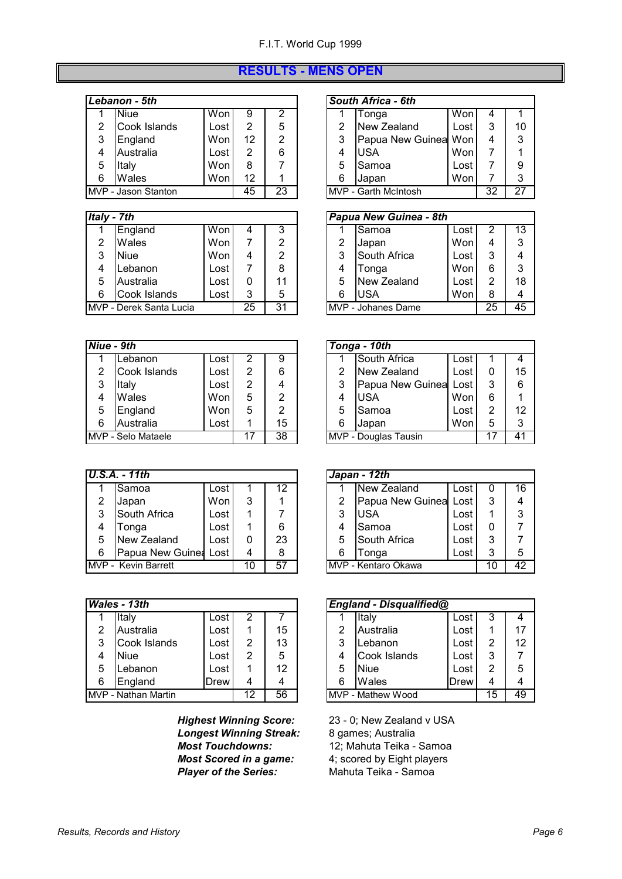#### **RESULTS - MENS OPEN**

| Lebanon - 5th |  | <b>South Africa - 6th</b> |  |
|---------------|--|---------------------------|--|
|---------------|--|---------------------------|--|

|   | Niue                | Won  | 9  | っ  |   | Tonqa                        | Won  | 4  |    |
|---|---------------------|------|----|----|---|------------------------------|------|----|----|
|   | Cook Islands        | Lost |    | 5  |   | New Zealand                  | Lost |    | 10 |
| 3 | England             | Won  | 12 | っ  |   | Papua New Guinea Won         |      | 4  | 3  |
| 4 | Australia           | Lost | 2  | 6  |   | IUSA                         | Won  |    |    |
| 5 | Italv               | Won  | 8  |    | 5 | Samoa                        | Lost |    | 9  |
| 6 | Wales               | Won  | 12 |    | 6 | <b>Japan</b>                 | Won  |    | 3  |
|   | MVP - Jason Stanton |      | 45 | 23 |   | <b>IMVP - Garth McIntosh</b> |      | 32 | 27 |
|   |                     |      |    |    |   |                              |      |    |    |

#### *<i>Italy - 7th* **Papua New Guinea - 8th**

|   | England                 | Won  | 4  | 3  |   | Samoa                      | Lost |    | 13 |
|---|-------------------------|------|----|----|---|----------------------------|------|----|----|
|   | <b>Wales</b>            | Won  |    | າ  |   | Japan                      | Won  | 4  | 3  |
| 3 | <b>Niue</b>             | Won  |    |    |   | South Africa               | Lost | ◠  | 4  |
|   | Lebanon                 | Lost |    | 8  |   | Tonga                      | Won  |    | 3  |
| 5 | Australia               | Lost |    |    |   | New Zealand                | Lost |    | 18 |
| 6 | Cook Islands            | ∟ost | 3  | 5  | 6 | USA                        | Won  |    | 4  |
|   | MVP - Derek Santa Lucia |      | 25 | 31 |   | <b>IMVP</b> - Johanes Dame |      | 25 | 45 |

| Niue - 9th |                    |        |   |    |   | Tonga - 10th         |      |   |    |
|------------|--------------------|--------|---|----|---|----------------------|------|---|----|
|            | Lebanon            | Lost I | 2 | 9  |   | South Africa         | Lost |   | 4  |
| 2          | Cook Islands       | Lost   | 2 | 6  | 2 | New Zealand          | Lost |   | 15 |
| 3          | Italy              | Lost   | 2 | 4  | 3 | Papua New Guinea     | Lost | 3 | 6  |
| 4          | Wales              | Wonl   | 5 | 2  | 4 | <b>IUSA</b>          | Won  | 6 |    |
| 5          | England            | Won    | 5 | 2  | 5 | lSamoa               | Lost | 2 | 12 |
| 6          | Australia          | Lost I |   | 15 | 6 | Japan                | Won  | 5 | 3  |
|            | MVP - Selo Mataele |        |   | 38 |   | MVP - Douglas Tausin |      |   | 41 |

|   | $U.S.A. - 11th$             |      |    |    |   | $Japan - 12th$        |      |    |    |
|---|-----------------------------|------|----|----|---|-----------------------|------|----|----|
|   |                             |      |    | 12 |   | New Zealand           |      |    | 16 |
|   | <b>ISamoa</b>               | Lost |    |    |   |                       | Lost |    |    |
| 2 | Japan                       | Won  | 3  |    | 2 | Papua New Guinea Lost |      |    | 4  |
| 3 | South Africa                | Lost |    |    | 3 | USA                   | Lost |    | 3  |
| 4 | Tonga                       | Lost |    | 6  | 4 | Samoa                 | Lost |    |    |
| 5 | New Zealand                 | Lost | 0  | 23 | 5 | South Africa          | ∟ost | 3  |    |
| 6 | Papua New Guine: Lost       |      | 4  | 8  | 6 | Tonga                 | ∟ost |    | 5  |
|   | <b>IMVP - Kevin Barrett</b> |      | 10 | 57 |   | IMVP - Kentaro Okawa  |      | 10 | 42 |

|   | Wales - 13th               |      |    |    |   | England - Disqualified@ |      |    |    |
|---|----------------------------|------|----|----|---|-------------------------|------|----|----|
|   | Italy                      | Lost | 2  |    |   | Italy                   | Lost |    | 4  |
| 2 | Australia                  | Lost |    | 15 | 2 | Australia               | Lost |    | 17 |
| 3 | Cook Islands               | Lost | 2  | 13 | 3 | Lebanon                 | Lost | 2  | 12 |
| 4 | <b>Niue</b>                | Lost | 2  | 5  | 4 | Cook Islands            | ∟ost | 3  |    |
| 5 | Lebanon                    | Lost |    | 12 | 5 | Niue                    | Lost | 2  | 5  |
| 6 | England                    | Drew | 4  | 4  | 6 | Wales                   | Drew | 4  | 4  |
|   | <b>MVP - Nathan Martin</b> |      | 12 | 56 |   | MVP - Mathew Wood       |      | 15 | 49 |

*Longest Winning Streak:* 8 games; Australia *Most Scored in a game:* 4; scored by Eight playe<br> **Player of the Series:** Mahuta Teika - Samoa **Player of the Series:** 

| outn Africa - 6th |               |     |  |  |  |  |  |  |  |
|-------------------|---------------|-----|--|--|--|--|--|--|--|
|                   | Tonga         | l W |  |  |  |  |  |  |  |
|                   | $MOM$ Zoolond |     |  |  |  |  |  |  |  |

|   | TNEW <i>E</i> edidHu | LUSL |    | 1 U |
|---|----------------------|------|----|-----|
| 3 | Papua New Guinea Won |      |    | 3   |
|   | <b>USA</b>           | Won  |    |     |
| 5 | Samoa                | Lost |    | 9   |
| 6 | Japan                | Won  |    | З   |
|   | MVP - Garth McIntosh |      | 32 |     |

|   | ปy - 7th                           |      |   |    |  | Papua New Guinea - 8th |                    |      |    |    |
|---|------------------------------------|------|---|----|--|------------------------|--------------------|------|----|----|
|   | England                            | Won  | 4 | 3  |  | Samoa<br>Lost          |                    |      |    | 13 |
| 2 | Wales                              | Won  |   | っ  |  | 2                      | Japan              | Won  |    | 3  |
| 3 | <b>Niue</b>                        | Won  | 4 | っ  |  | 3                      | South Africa       | Lost | 3  | 4  |
| 4 | Lebanon                            | Lost |   | 8  |  | 4                      | Tonga              | Won  | 6  | 3  |
| 5 | Australia                          | Lost | 0 | 11 |  | 5                      | New Zealand        | Lost | 2  | 18 |
| 6 | Cook Islands                       | Lost | 3 | 5  |  | 6                      | IUSA               | Won  | 8  |    |
|   | /P - Derek Santa Lucia<br>25<br>31 |      |   |    |  |                        | MVP - Johanes Dame |      | 25 | 45 |

|    | ue - 9th                |      |   |    |                      | Tonga - 10th |                  |      |   |    |
|----|-------------------------|------|---|----|----------------------|--------------|------------------|------|---|----|
|    | Lebanon                 | Lost |   | 9  |                      |              | South Africa     | Lost |   | 4  |
| 2  | Cook Islands            | Lost | 2 | 6  |                      | 2            | New Zealand      | Lost |   | 15 |
| 3  | Italy                   | Lost | 2 |    |                      | 3            | Papua New Guinea | Lost | 3 | 6  |
| 4  | Wales                   | Won  | 5 | っ  |                      | 4            | <b>USA</b>       | Won  | 6 |    |
| 5. | England                 | Won  | 5 | っ  |                      | 5            | Samoa            | Lost | 2 | 12 |
| 6. | Australia               | Lost |   | 15 |                      | 6            | Japan            | Won  | 5 | 3  |
|    | 38<br>/P - Selo Mataele |      |   |    | MVP - Douglas Tausin |              |                  |      |   | 41 |

|    | $S.A. - 11th$      |      |   |    |  |                     | $Japan - 12th$   |      |    |    |
|----|--------------------|------|---|----|--|---------------------|------------------|------|----|----|
|    | Samoa              | Lost |   | 12 |  |                     | New Zealand      | Lost |    | 16 |
| 2  | Japan              | Won  | 3 |    |  | 2                   | Papua New Guinea | Lost | 3  |    |
| 3  | South Africa       | Lost |   |    |  | 3                   | lusa             | Lost |    | 3  |
| 4  | Tonga              | Lost |   | 6  |  |                     | ISamoa           | Lost |    |    |
| 5. | New Zealand        | Lost | 0 | 23 |  | 5                   | South Africa     | Lost | 3  |    |
| 6. | Papua New Guinea   | Lost | 4 | 8  |  | 6                   | Tonga            | Lost | 3  | 5  |
|    | /P - Kevin Barrett |      |   | 57 |  | MVP - Kentaro Okawa |                  |      | 10 | 42 |

|    | 'ales - 13th       |              |    |    |                   | England - Disqualified@ |                  |      |    |    |
|----|--------------------|--------------|----|----|-------------------|-------------------------|------------------|------|----|----|
|    | Italy              | Lost         | 2  |    |                   |                         | Italy            | Lost | ◠  | 4  |
| 2  | Australia          | Lost         |    | 15 |                   | っ                       | <b>Australia</b> | Lost |    | 17 |
| 3. | Cook Islands       | Lost         | 2  | 13 |                   | 3                       | _ebanon          | Lost | っ  | 12 |
| 4  | <b>Niue</b>        | Lost         | 2  | 5  |                   | 4                       | Cook Islands     | Lost | 3  |    |
| 5  | Lebanon            | Lost         |    | 12 |                   | 5                       | <b>Niue</b>      | Lost | 2  | 5  |
| 6  | England            | <b>IDrew</b> | 4  |    |                   | 6                       | Wales            | Drew | 4  |    |
|    | /P - Nathan Martin | 12           | 56 |    | MVP - Mathew Wood |                         |                  | 15   | 49 |    |

*Highest Winning Score:* 23 - 0; New Zealand v USA **Most Touchdowns:** 12; Mahuta Teika - Samoa<br>**Most Scored in a game:** 4; scored by Eight players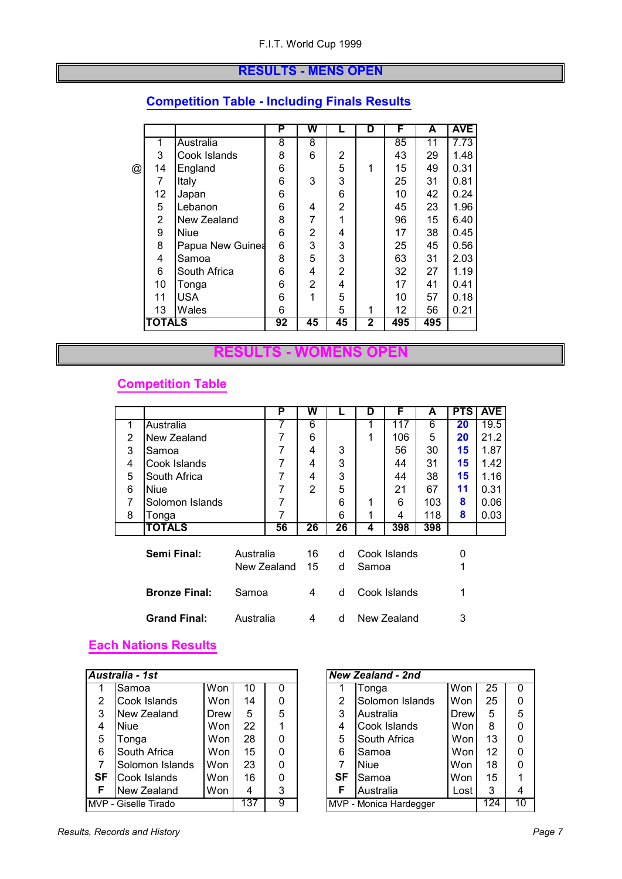#### **RESULTS - MENS OPEN**

|   |                |                  | P  | W  |                | D | F   | A   | <b>AVE</b> |
|---|----------------|------------------|----|----|----------------|---|-----|-----|------------|
|   | 1              | Australia        | 8  | 8  |                |   | 85  | 11  | 7.73       |
|   | 3              | Cook Islands     | 8  | 6  | 2              |   | 43  | 29  | 1.48       |
| @ | 14             | England          | 6  |    | 5              |   | 15  | 49  | 0.31       |
|   | 7              | Italy            | 6  | 3  | 3              |   | 25  | 31  | 0.81       |
|   | 12             | Japan            | 6  |    | 6              |   | 10  | 42  | 0.24       |
|   | 5              | Lebanon          | 6  | 4  | 2              |   | 45  | 23  | 1.96       |
|   | $\overline{2}$ | New Zealand      | 8  | 7  | 1              |   | 96  | 15  | 6.40       |
|   | 9              | <b>Niue</b>      | 6  | 2  | 4              |   | 17  | 38  | 0.45       |
|   | 8              | Papua New Guinea | 6  | 3  | 3              |   | 25  | 45  | 0.56       |
|   | 4              | Samoa            | 8  | 5  | 3              |   | 63  | 31  | 2.03       |
|   | 6              | South Africa     | 6  | 4  | $\overline{2}$ |   | 32  | 27  | 1.19       |
|   | 10             | Tonga            | 6  | 2  | 4              |   | 17  | 41  | 0.41       |
|   | 11             | <b>USA</b>       | 6  |    | 5              |   | 10  | 57  | 0.18       |
|   | 13             | Wales            | 6  |    | 5              | 1 | 12  | 56  | 0.21       |
|   | <b>TOTALS</b>  |                  | 92 | 45 | 45             | 2 | 495 | 495 |            |

#### **Competition Table - Including Finals Results**

#### **RESULTS - WOMENS OPEN**

#### **Competition Table**

|   |                      |             | P  | W  |    | D            | F            | A   | <b>PTS</b> | <b>AVE</b> |
|---|----------------------|-------------|----|----|----|--------------|--------------|-----|------------|------------|
| 1 | Australia            |             |    | 6  |    |              | 117          | 6   | 20         | 19.5       |
| 2 | New Zealand          |             | 7  | 6  |    | 1            | 106          | 5   | 20         | 21.2       |
| 3 | Samoa                |             | 7  | 4  | 3  |              | 56           | 30  | 15         | 1.87       |
| 4 | Cook Islands         |             | 7  | 4  | 3  |              | 44           | 31  | 15         | 1.42       |
| 5 | South Africa         |             | 7  | 4  | 3  |              | 44           | 38  | 15         | 1.16       |
| 6 | Niue                 |             | 7  | 2  | 5  |              | 21           | 67  | 11         | 0.31       |
| 7 | Solomon Islands      |             | 7  |    | 6  | 1            | 6            | 103 | 8          | 0.06       |
| 8 | Tonga                |             | 7  |    | 6  | 1            | 4            | 118 | 8          | 0.03       |
|   | <b>TOTALS</b>        |             | 56 | 26 | 26 | 4            | 398          | 398 |            |            |
|   |                      |             |    |    |    |              |              |     |            |            |
|   | Semi Final:          | Australia   |    | 16 | d  | Cook Islands |              |     | 0          |            |
|   |                      | New Zealand |    | 15 | d  | Samoa        |              |     | 1          |            |
|   | <b>Bronze Final:</b> | Samoa       |    | 4  | d  |              | Cook Islands |     | 1          |            |
|   | <b>Grand Final:</b>  | Australia   |    | 4  | d  | New Zealand  |              |     | 3          |            |

#### **Each Nations Results**

|           | Australia - 1st      |                                    |    |   |  |                | <b>New Zealand - 2nd</b> |      |    |          |
|-----------|----------------------|------------------------------------|----|---|--|----------------|--------------------------|------|----|----------|
|           | Samoa                | Won                                | 10 | 0 |  |                | Tonga                    | Won  | 25 | $\Omega$ |
| 2         | Cook Islands         | Won                                | 14 | 0 |  | $\overline{2}$ | Solomon Islands          | Won  | 25 | $\Omega$ |
| 3         | New Zealand          | Drew                               | 5  | 5 |  | 3              | Australia                | Drew | 5  | 5        |
| 4         | <b>Niue</b>          | Won                                | 22 |   |  | 4              | Cook Islands             | Won  | 8  | $\Omega$ |
| 5         | Tonga                | Won                                | 28 | 0 |  | 5              | South Africa             | Won  | 13 | 0        |
| 6         | South Africa         | Won                                | 15 | 0 |  | 6              | Samoa                    | Won  | 12 | 0        |
| 7         | Solomon Islands      | Won                                | 23 | 0 |  |                | <b>Niue</b>              | Won  | 18 | $\Omega$ |
| <b>SF</b> | Cook Islands         | Won                                | 16 | 0 |  | SF             | Samoa                    | Won  | 15 | 1        |
| F         | New Zealand          | Won                                | 4  | 3 |  | F              | Australia                | Lost | 3  | 4        |
|           | MVP - Giselle Tirado | 137<br>9<br>MVP - Monica Hardegger |    |   |  |                | 124                      | 10   |    |          |

|                                  | <b>New Zealand - 2nd</b>            |     |    |   |  |  |  |  |  |  |
|----------------------------------|-------------------------------------|-----|----|---|--|--|--|--|--|--|
| 1                                | Tonga                               | Won | 25 | O |  |  |  |  |  |  |
| 2                                | Solomon Islands                     | Won | 25 | 0 |  |  |  |  |  |  |
| 3<br>5<br>5<br>Drew<br>Australia |                                     |     |    |   |  |  |  |  |  |  |
| 4                                | 8<br>Cook Islands<br>Won<br>0       |     |    |   |  |  |  |  |  |  |
| 5                                | South Africa                        | Won | 13 | 0 |  |  |  |  |  |  |
| 6                                | Samoa                               | Won | 12 | 0 |  |  |  |  |  |  |
| 7                                | <b>Niue</b>                         | Won | 18 | 0 |  |  |  |  |  |  |
| <b>SF</b>                        | Samoa                               | Won | 15 |   |  |  |  |  |  |  |
| F                                | Australia<br>3<br>Lost<br>4         |     |    |   |  |  |  |  |  |  |
|                                  | 124<br>10<br>MVP - Monica Hardegger |     |    |   |  |  |  |  |  |  |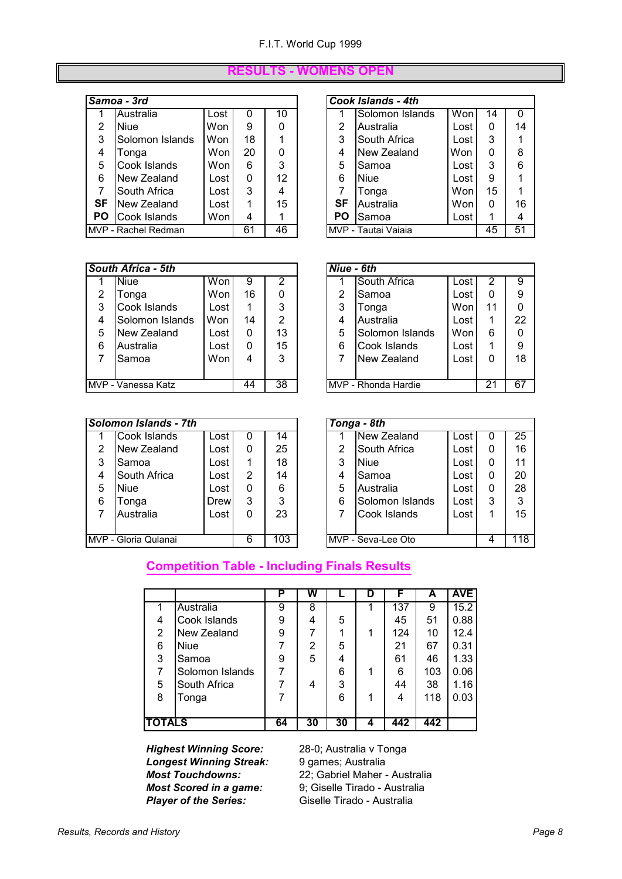#### **RESULTS - WOMENS OPEN**

#### **Samoa - 3rd Cook Islands - 4th**

|           | Australia           | ∟ost | 0  | 10     |    | Solomon Islands     | Won  | 14 | $\Omega$ |
|-----------|---------------------|------|----|--------|----|---------------------|------|----|----------|
| 2         | <b>Niue</b>         | Won  | 9  | 0      | 2  | Australia           | Lost | 0  | 14       |
| 3         | Solomon Islands     | Won  | 18 |        | 3  | South Africa        | Lost | 3  | 1        |
| 4         | Tonga               | Won  | 20 | 0      | 4  | New Zealand         | Won  | 0  | 8        |
| 5         | Cook Islands        | Won  | 6  | 3      | 5  | Samoa               | Lost | 3  | 6        |
| 6         | New Zealand         | Lost | 0  | 12     | 6  | <b>Niue</b>         | Lost | 9  | 1        |
|           | South Africa        | Lost | 3  | 4      |    | Tonga               | Won  | 15 | 1        |
| SF        | New Zealand         | Lost |    | $15\,$ | SF | Australia           | Won  | 0  | 16       |
| <b>PO</b> | Cook Islands        | Won  | 4  |        | PO | Samoa               | Lost |    | 4        |
|           | MVP - Rachel Redman |      | 61 | 46     |    | MVP - Tautai Vaiaia |      | 45 | 51       |

|                | Cook Islands - 4th              |      |    |    |  |  |  |  |  |  |
|----------------|---------------------------------|------|----|----|--|--|--|--|--|--|
|                | Solomon Islands                 | Won  | 14 | 0  |  |  |  |  |  |  |
| 2              | <b>Australia</b>                | Lost | 0  | 14 |  |  |  |  |  |  |
| 3              | South Africa                    | Lost | 3  | 1  |  |  |  |  |  |  |
| 4              | New Zealand                     | Won  | 0  | 8  |  |  |  |  |  |  |
| 5              | Samoa                           | Lost | 3  | 6  |  |  |  |  |  |  |
| 6              | <b>Niue</b>                     | Lost | 9  | 1  |  |  |  |  |  |  |
| $\overline{7}$ | Tonga                           | Won  | 15 |    |  |  |  |  |  |  |
| SF             | Australia                       | Won  | 0  | 16 |  |  |  |  |  |  |
| <b>PO</b>      | Samoa                           | Lost |    | 4  |  |  |  |  |  |  |
|                | 51<br>MVP - Tautai Vaiaia<br>45 |      |    |    |  |  |  |  |  |  |

|   | South Africa - 5th |      |    |    | Niue - 6th |                      |      |             |          |
|---|--------------------|------|----|----|------------|----------------------|------|-------------|----------|
|   | <b>Niue</b>        | Won  | 9  | 2  |            | South Africa         | Lost |             | 9        |
| 2 | Tonga              | Won  | 16 | 0  | 2          | Samoa                | Lost |             | 9        |
| 3 | Cook Islands       | Lost |    | 3  | 3          | Tonga                | Won  | 11          | $\Omega$ |
| 4 | Solomon Islands    | Won  | 14 | 2  | 4          | Australia            | Lost |             | 22       |
| 5 | New Zealand        | Lost | 0  | 13 | 5          | Solomon Islands      | Won  | 6           | $\Omega$ |
| 6 | Australia          | Lost | 0  | 15 | 6          | Cook Islands         | Lost |             | 9        |
|   | Samoa              | Won  | 4  | 3  |            | New Zealand          | Lost | 0           | 18       |
|   |                    |      |    |    |            |                      |      |             |          |
|   | MVP - Vanessa Katz |      | 44 | 38 |            | IMVP - Rhonda Hardie |      | $2^{\circ}$ | 67       |

|    | outh Africa - 5th       |      |    |    | Niue - 6th |                      |      |    |              |
|----|-------------------------|------|----|----|------------|----------------------|------|----|--------------|
| 1. | <b>Niue</b>             | Won  | 9  | 2  |            | South Africa         | Lost | 2  | 9            |
| 2  | Tonga                   | Won  | 16 |    | 2          | Samoa                | Lost |    | 9            |
| 3  | Cook Islands            | Lost |    | 3  | 3          | Tonga                | Wonl | 11 | $\mathbf{0}$ |
| 4  | Solomon Islands         | Won  | 14 | 2  | 4          | Australia            | Lost |    | 22           |
| 5  | New Zealand             | Lost | 0  | 13 | 5          | Solomon Islands      | Won  | 6  | 0            |
| 6  | Australia               | Lost | 0  | 15 | 6          | Cook Islands         | Lost |    | 9            |
| 7  | Samoa                   | Won  | 4  | 3  |            | New Zealand          | Lost |    | 18           |
|    |                         |      |    |    |            |                      |      |    |              |
|    | 44<br>/P - Vanessa Katz |      |    | 38 |            | IMVP - Rhonda Hardie |      | 21 | 67           |

|   | Solomon Islands - 7th |      |   |     |   | Tonga - $8th$      |      |   |     |
|---|-----------------------|------|---|-----|---|--------------------|------|---|-----|
|   | Cook Islands          | Lost | O | 14  |   | <b>New Zealand</b> | Lost |   | 25  |
| 2 | New Zealand           | Lost | 0 | 25  | 2 | South Africa       | Lost | 0 | 16  |
| 3 | Samoa                 | Lost |   | 18  | 3 | Niue               | Lost | 0 | 11  |
| 4 | South Africa          | Lost | 2 | 14  | 4 | Samoa              | Lost | 0 | 20  |
| 5 | <b>Niue</b>           | Lost | 0 | 6   | 5 | Australia          | Lost | 0 | 28  |
| 6 | Tonga                 | Drew | 3 | 3   | 6 | Solomon Islands    | Lost | 3 | 3   |
|   | Australia             | Lost | 0 | 23  |   | Cook Islands       | Lost | 1 | 15  |
|   |                       |      |   |     |   |                    |      |   |     |
|   | MVP - Gloria Qulanai  |      | 6 | 103 |   | MVP - Seva-Lee Oto |      | 4 | 118 |

|                | Tonga - 8th               |      |   |    |  |  |  |  |  |
|----------------|---------------------------|------|---|----|--|--|--|--|--|
|                | New Zealand               | Lost | 0 | 25 |  |  |  |  |  |
| $\overline{2}$ | South Africa              | Lost | 0 | 16 |  |  |  |  |  |
| 3              | Niue                      | Lost | 0 | 11 |  |  |  |  |  |
| $\overline{4}$ | Samoa                     | Lost | 0 | 20 |  |  |  |  |  |
| 5              | Australia                 | Lost | 0 | 28 |  |  |  |  |  |
| 6              | Solomon Islands           | Lost | 3 | 3  |  |  |  |  |  |
| 7              | Cook Islands              | Lost |   | 15 |  |  |  |  |  |
|                |                           |      |   |    |  |  |  |  |  |
|                | MVP - Seva-Lee Oto<br>118 |      |   |    |  |  |  |  |  |

#### **Competition Table - Including Finals Results**

|                |                 | Р  | w  |    | D | F   | А   | <b>AVE</b> |
|----------------|-----------------|----|----|----|---|-----|-----|------------|
|                | Australia       | 9  | 8  |    |   | 137 | 9   | 15.2       |
| 4              | Cook Islands    | 9  | 4  | 5  |   | 45  | 51  | 0.88       |
| $\overline{2}$ | New Zealand     | 9  | 7  |    | 1 | 124 | 10  | 12.4       |
| 6              | <b>Niue</b>     |    | 2  | 5  |   | 21  | 67  | 0.31       |
| 3              | Samoa           | 9  | 5  | 4  |   | 61  | 46  | 1.33       |
| 7              | Solomon Islands | 7  |    | 6  | 1 | 6   | 103 | 0.06       |
| 5              | South Africa    |    | 4  | 3  |   | 44  | 38  | 1.16       |
| 8              | Tonga           |    |    | 6  | 1 | 4   | 118 | 0.03       |
|                |                 |    |    |    |   |     |     |            |
| <b>TOTALS</b>  |                 | 64 | 30 | 30 | 4 | 442 | 442 |            |

*Highest Winning Score:* 28-0; Australia v Tonga<br> **Longest Winning Streak:** 9 games; Australia **Longest Winning Streak:<br>Most Touchdowns: Most Scored in a game: Player of the Series:** Giselle Tirado - Australia

*Most Touchdowns:* 22; Gabriel Maher - Australia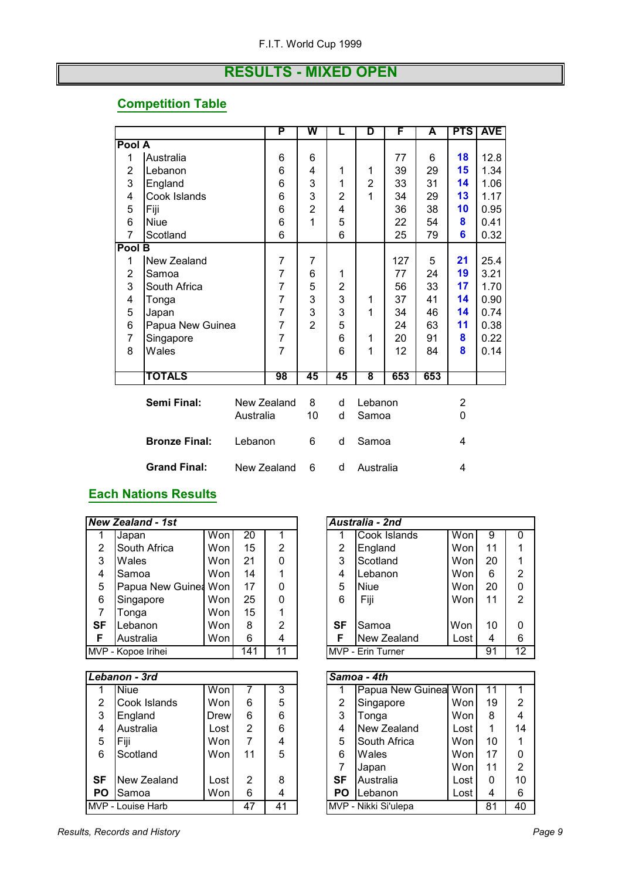#### **RESULTS - MIXED OPEN**

#### **Competition Table**

|                |                                 |           | P              | W              | L              | D              | F   | A   | <b>PTS</b> | <b>AVE</b> |
|----------------|---------------------------------|-----------|----------------|----------------|----------------|----------------|-----|-----|------------|------------|
| Pool A         |                                 |           |                |                |                |                |     |     |            |            |
| 1              | Australia                       |           | 6              | 6              |                |                | 77  | 6   | 18         | 12.8       |
| $\overline{2}$ | Lebanon                         |           | 6              | 4              | 1              | 1              | 39  | 29  | 15         | 1.34       |
| 3              | England                         |           | 6              | 3              | 1              | $\overline{2}$ | 33  | 31  | 14         | 1.06       |
| 4              | Cook Islands                    |           | 6              | 3              | $\overline{2}$ | 1              | 34  | 29  | 13         | 1.17       |
| 5              | Fiji                            |           | 6              | $\overline{2}$ | 4              |                | 36  | 38  | 10         | 0.95       |
| 6              | <b>Niue</b>                     |           | 6              | 1              | 5              |                | 22  | 54  | 8          | 0.41       |
| 7              | Scotland                        |           | 6              |                | 6              |                | 25  | 79  | 6          | 0.32       |
| Pool B         |                                 |           |                |                |                |                |     |     |            |            |
| 1              | New Zealand                     |           | 7              | $\overline{7}$ |                |                | 127 | 5   | 21         | 25.4       |
| 2              | Samoa                           |           | $\overline{7}$ | 6              | 1              |                | 77  | 24  | 19         | 3.21       |
| 3              | South Africa                    |           | $\overline{7}$ | 5              | $\overline{2}$ |                | 56  | 33  | 17         | 1.70       |
| 4              | Tonga                           |           | $\overline{7}$ | 3              | 3              | 1              | 37  | 41  | 14         | 0.90       |
| 5              | Japan                           |           | 7              | 3              | 3              | 1              | 34  | 46  | 14         | 0.74       |
| 6              | Papua New Guinea                |           | $\overline{7}$ | $\overline{2}$ | 5              |                | 24  | 63  | 11         | 0.38       |
| 7              | Singapore                       |           | $\overline{7}$ |                | 6              | 1              | 20  | 91  | 8          | 0.22       |
| 8              | Wales                           |           | $\overline{7}$ |                | 6              | 1              | 12  | 84  | 8          | 0.14       |
|                |                                 |           |                |                |                |                |     |     |            |            |
|                | TOTALS                          |           | 98             | 45             | 45             | 8              | 653 | 653 |            |            |
|                |                                 |           |                |                |                |                |     |     |            |            |
|                | Semi Final:                     |           | New Zealand    | 8              | d              | Lebanon        |     |     | 2          |            |
|                |                                 | Australia |                | 10             | d              | Samoa          |     |     | 0          |            |
|                |                                 |           |                |                |                |                |     |     |            |            |
|                | <b>Bronze Final:</b><br>Lebanon |           |                | 6              | d              | Samoa          |     |     | 4          |            |
|                | <b>Grand Final:</b>             |           | New Zealand    | 6              | d              | Australia      |     |     | 4          |            |

#### **Each Nations Results**

|                | <b>New Zealand - 1st</b> |      |                |                | Australia - 2nd |                      |      |          |                 |
|----------------|--------------------------|------|----------------|----------------|-----------------|----------------------|------|----------|-----------------|
|                | Japan                    | Won  | 20             | 1              | 1               | Cook Islands         | Won  | 9        | $\mathbf{0}$    |
| $\overline{2}$ | South Africa             | Won  | 15             | $\overline{2}$ | 2               | England              | Won  | 11       | 1               |
| 3              | Wales                    | Won  | 21             | $\Omega$       | 3               | Scotland             | Won  | 20       | 1               |
| 4              | Samoa                    | Won  | 14             | 1              | 4               | Lebanon              | Won  | 6        | $\overline{2}$  |
| 5              | Papua New Guinea Won     |      | 17             | 0              | 5               | Niue                 | Won  | 20       | 0               |
| 6              | Singapore                | Won  | 25             | $\mathbf{0}$   | 6               | Fiji                 | Won  | 11       | $\overline{2}$  |
| $\overline{7}$ | Tonga                    | Won  | 15             | 1              |                 |                      |      |          |                 |
| <b>SF</b>      | Lebanon                  | Won  | 8              | $\overline{2}$ | <b>SF</b>       | Samoa                | Won  | 10       | $\Omega$        |
| F              | Australia                | Won  | 6              | 4              | F               | New Zealand          | Lost | 4        | 6               |
|                | MVP - Kopoe Irihei       |      | 141            | 11             |                 | MVP - Erin Turner    |      | 91       | $\overline{12}$ |
|                |                          |      |                |                |                 |                      |      |          |                 |
|                | Lebanon - 3rd            |      |                |                |                 | Samoa - 4th          |      |          |                 |
| 1              | <b>Niue</b>              | Won  |                | 3              | 1               | Papua New Guinea Won |      | 11       | 1               |
| 2              | Cook Islands             | Won  | 6              | 5              | $\overline{2}$  | Singapore            | Won  | 19       | $\overline{2}$  |
| 3              | England                  | Drew | 6              | 6              | 3               | Tonga                | Won  | 8        | 4               |
| 4              | Australia                | Lost | $\overline{2}$ | 6              | 4               | New Zealand          | Lost | 1        | 14              |
| 5              | Fiji                     | Won  | $\overline{7}$ | 4              | 5               | South Africa         | Won  | 10       | 1               |
| 6              | Scotland                 | Won  | 11             | 5              | 6               | Wales                | Won  | 17       | 0               |
|                |                          |      |                |                | 7               | Japan                | Won  | 11       | $\overline{2}$  |
| <b>SF</b>      | New Zealand              | Lost | $\overline{2}$ | 8              | <b>SF</b>       | Australia            | Lost | $\Omega$ | 10              |
| <b>PO</b>      | Samoa                    | Won  | 6              | 4              | <b>PO</b>       | Lebanon              | Lost | 4        | 6               |
|                | MVP - Louise Harb        |      | 47             | 41             |                 | MVP - Nikki Si'ulepa |      | 81       | 40              |

|                                    | Australia - 2nd                            |     |    |                |  |  |  |  |  |  |
|------------------------------------|--------------------------------------------|-----|----|----------------|--|--|--|--|--|--|
|                                    | Cook Islands                               | Won | 9  | O              |  |  |  |  |  |  |
| $\overline{2}$                     | England                                    | Won | 11 |                |  |  |  |  |  |  |
| 3<br>Scotland<br>20<br>Won         |                                            |     |    |                |  |  |  |  |  |  |
| $\overline{\mathbf{4}}$            | Lebanon                                    | Won | 6  | $\overline{2}$ |  |  |  |  |  |  |
| 5                                  | Niue                                       | Won | 20 | 0              |  |  |  |  |  |  |
| 6                                  | Fiji                                       | Won | 11 | 2              |  |  |  |  |  |  |
|                                    |                                            |     |    |                |  |  |  |  |  |  |
| <b>SF</b>                          | Samoa                                      | Won | 10 | 0              |  |  |  |  |  |  |
| F<br>Lost<br>New Zealand<br>6<br>4 |                                            |     |    |                |  |  |  |  |  |  |
|                                    | $\overline{12}$<br>MVP - Erin Turner<br>91 |     |    |                |  |  |  |  |  |  |

|                | Samoa - 4th          |      |    |                |
|----------------|----------------------|------|----|----------------|
|                | Papua New Guinea Won |      | 11 |                |
| $\overline{2}$ | Singapore            | Won  | 19 | 2              |
| 3              | Tonga                | Won  | 8  | 4              |
| 4              | New Zealand          | Lost | 1  | 14             |
| 5              | South Africa         | Won  | 10 |                |
| 6              | Wales                | Won  | 17 | 0              |
| $\overline{7}$ | Japan                | Won  | 11 | $\overline{2}$ |
| <b>SF</b>      | Australia            | Lost | 0  | 10             |
| PO             | Lebanon              | Lost | 4  | 6              |
|                | MVP - Nikki Si'ulepa |      | 81 | 40             |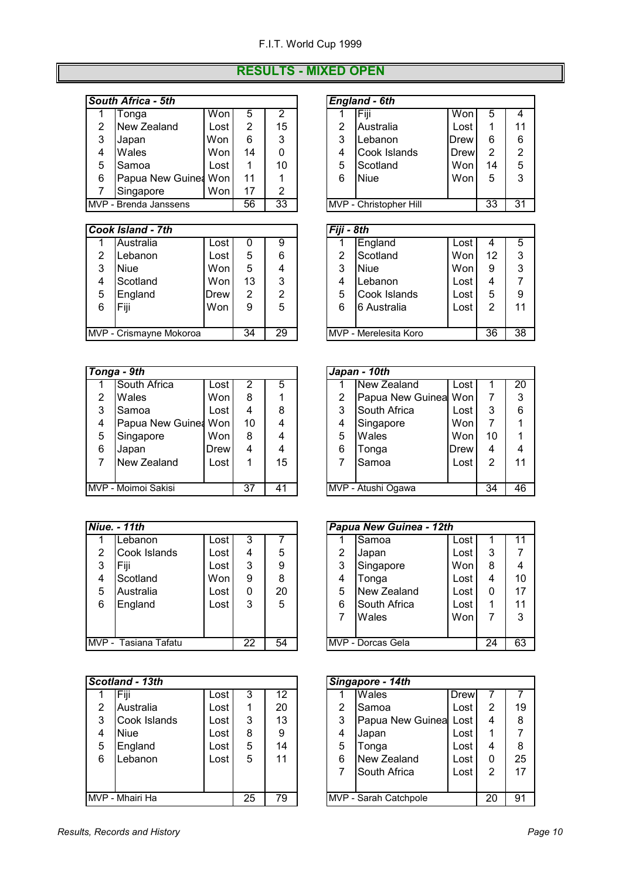#### **RESULTS - MIXED OPEN**

#### **South Africa - 5th England 2016**

|   | Tonga                 | Won  | 5  | っ  |   | Fiji                   | Won  | 5  | 4             |
|---|-----------------------|------|----|----|---|------------------------|------|----|---------------|
| 2 | New Zealand           | Lost | 2  | 15 | 2 | Australia              | Lost |    | 11            |
| 3 | Japan                 | Won  | 6  | 3  | 3 | Lebanon                | Drew | 6  | 6             |
| 4 | Wales                 | Won  | 14 |    |   | Cook Islands           | Drew | 2  | $\mathcal{P}$ |
| 5 | Samoa                 | Lost |    | 10 | 5 | Scotland               | Won  | 14 | 5             |
| 6 | Papua New Guinea Won  |      | 11 |    | 6 | <b>Niue</b>            | Won  | 5  | 3             |
|   | Singapore             | Won  | 17 | 2  |   |                        |      |    |               |
|   | MVP - Brenda Janssens |      | 56 | 33 |   | MVP - Christopher Hill |      | 33 | 31            |

|   | <b>Cook Island - 7th</b> |      |    |    | Fiji - 8th |                       |      |    |    |
|---|--------------------------|------|----|----|------------|-----------------------|------|----|----|
|   | Australia                | Lost |    | 9  |            | England               | Lost |    | 5  |
| 2 | Lebanon                  | Lost | 5  | 6  | 2          | Scotland              | Wonl | 12 | 3  |
| 3 | <b>Niue</b>              | Won  | 5  | 4  | 3          | <b>Niue</b>           | Won  | 9  | 3  |
| 4 | Scotland                 | Won  | 13 | 3  | 4          | Lebanon               | Lost | 4  | 7  |
| 5 | England                  | Drew | 2  | 2  | 5          | Cook Islands          | Lost | 5  | 9  |
| 6 | Fiji                     | Won  | 9  | 5  | 6          | 6 Australia           | Lost | 2  | 11 |
|   |                          |      |    |    |            |                       |      |    |    |
|   | MVP - Crismayne Mokoroa  |      | 34 | 29 |            | MVP - Merelesita Koro |      | 36 | 38 |

|                                                       | Tonga - 9th          |             |    |    |  |   | Japan - 10th         |      |    |    |
|-------------------------------------------------------|----------------------|-------------|----|----|--|---|----------------------|------|----|----|
|                                                       | South Africa         | Lost        |    | 5  |  |   | New Zealand          | Lost |    | 20 |
| $\overline{2}$                                        | <b>Wales</b>         | Won         | 8  |    |  | 2 | Papua New Guinea Won |      |    | 3  |
| 3                                                     | Samoa                | Lost        | 4  | 8  |  | 3 | South Africa         | Lost | 3  | 6  |
| 4                                                     | Papua New Guinea Won |             | 10 | 4  |  | 4 | Singapore            | Won  |    | 1  |
| 5                                                     | Singapore            | Won         | 8  | 4  |  | 5 | Wales                | Won  | 10 | 1  |
| 6                                                     | Japan                | <b>Drew</b> | 4  | 4  |  | 6 | Tonga                | Drew | 4  | 4  |
|                                                       | New Zealand          | Lost        |    | 15 |  |   | Samoa                | Lost | 2  | 11 |
|                                                       |                      |             |    |    |  |   |                      |      |    |    |
| MVP - Moimoi Sakisi<br>37<br>MVP - Atushi Ogawa<br>41 |                      |             |    |    |  |   | 34                   | 46   |    |    |

|   | <b>Niue. - 11th</b>  |      |    |    |   | Papua New Guinea - 12th |      |    |    |
|---|----------------------|------|----|----|---|-------------------------|------|----|----|
|   | Lebanon              | Lost | 3  |    |   | Samoa                   | Lost |    | 11 |
| 2 | Cook Islands         | Lost | 4  | 5  | 2 | Japan                   | Lost | 3  | 7  |
| 3 | Fiji                 | Lost | 3  | 9  | 3 | Singapore               | Wonl | 8  | 4  |
| 4 | Scotland             | Won  | 9  | 8  | 4 | Tonga                   | Lost | 4  | 10 |
| 5 | Australia            | Lost | 0  | 20 | 5 | New Zealand             | Lost | 0  | 17 |
| 6 | England              | Lost | 3  | 5  | 6 | South Africa            | Lost |    | 11 |
|   |                      |      |    |    |   | Wales                   | Won  |    | 3  |
|   |                      |      |    |    |   |                         |      |    |    |
|   | MVP - Tasiana Tafatu |      | 22 | 54 |   | MVP - Dorcas Gela       |      | 24 | 63 |

|   | Scotland - 13th |      |    |    |   | Singapore - 14th      |      |    |    |
|---|-----------------|------|----|----|---|-----------------------|------|----|----|
|   | <b>IFiji</b>    | Lost |    | 12 |   | Wales                 | Drew |    |    |
| 2 | Australia       | Lost |    | 20 | 2 | Samoa                 | Lost | 2  | 19 |
| 3 | Cook Islands    | Lost | 3  | 13 | 3 | Papua New Guinea      | Lost | 4  | 8  |
| 4 | <b>Niue</b>     | Lost | 8  | 9  | 4 | Japan                 | Lost |    | 7  |
| 5 | England         | Lost | 5  | 14 | 5 | Tonga                 | Lost | 4  | 8  |
| 6 | Lebanon         | Lost | 5  | 11 | 6 | New Zealand           | Lost | 0  | 25 |
|   |                 |      |    |    |   | South Africa          | Lost | 2  | 17 |
|   |                 |      |    |    |   |                       |      |    |    |
|   | MVP - Mhairi Ha |      | 25 | 79 |   | MVP - Sarah Catchpole |      | 20 | 91 |

|                                  | Won                                                                      | 5                | 2  |   | Fiji         | Won                                            | 5  | 4  |
|----------------------------------|--------------------------------------------------------------------------|------------------|----|---|--------------|------------------------------------------------|----|----|
|                                  | Lost                                                                     | 2                | 15 | 2 | Australia    | Lost                                           |    | 11 |
| Japan                            | Won                                                                      | 6                | 3  | 3 | Lebanon      | Drew                                           | 6  | 6  |
|                                  | Won                                                                      | 14               | 0  | 4 | Cook Islands | Drew                                           | 2  | 2  |
|                                  | Lost                                                                     |                  | 10 | 5 | Scotland     | Won                                            | 14 | 5  |
|                                  | Won                                                                      | 11               |    | 6 | <b>Niue</b>  | Won                                            | 5  | 3  |
|                                  | Won                                                                      | 17               | 2  |   |              |                                                |    |    |
| 33<br>56<br>/P - Brenda Janssens |                                                                          |                  |    |   |              |                                                | 33 | 31 |
|                                  | วuth Africa - 5th<br>Tonga<br>New Zealand<br>Wales<br>Samoa<br>Singapore | Papua New Guinea |    |   |              | <b>England - 6th</b><br>MVP - Christopher Hill |    |    |

|                                    | วok Island - 7th |      |    |   | Fiji - 8th                    |              |      |    |    |
|------------------------------------|------------------|------|----|---|-------------------------------|--------------|------|----|----|
| 1                                  | Australia        | Lost |    | 9 |                               | England      | Lost | 4  | 5  |
| 2                                  | Lebanon          | Lost | 5  | 6 | 2                             | Scotland     | Won  | 12 | 3  |
| 3                                  | <b>Niue</b>      | Won  | 5  | 4 | 3                             | <b>Niue</b>  | Won  | 9  | 3  |
| 4                                  | Scotland         | Won  | 13 | 3 | 4                             | Lebanon      | Lost | 4  |    |
| 5.                                 | England          | Drew | 2  | っ | 5                             | Cook Islands | Lost | 5  | 9  |
| 6                                  | Fiji             | Won  | 9  | 5 | 6                             | 6 Australia  | Lost | 2  | 11 |
|                                    |                  |      |    |   |                               |              |      |    |    |
| 29<br>34<br>/P - Crismayne Mokoroa |                  |      |    |   | <b>IMVP</b> - Merelesita Koro |              | 36   | 38 |    |

|   | Japan - 10th                   |      |                |    |  |  |  |  |
|---|--------------------------------|------|----------------|----|--|--|--|--|
|   | New Zealand                    | Lost | 1              | 20 |  |  |  |  |
| 2 | Papua New Guinea Won           |      | 7              | 3  |  |  |  |  |
| 3 | South Africa                   | Lost | 3              | 6  |  |  |  |  |
| 4 | Singapore                      | Won  | $\overline{7}$ |    |  |  |  |  |
| 5 | Wales                          | Won  | 10             |    |  |  |  |  |
| 6 | Tonga                          | Drew | 4              |    |  |  |  |  |
| 7 | Samoa                          | Lost | $\overline{2}$ | 11 |  |  |  |  |
|   |                                |      |                |    |  |  |  |  |
|   | MVP - Atushi Ogawa<br>34<br>46 |      |                |    |  |  |  |  |

|                         | <b>Papua New Guinea - 12th</b> |      |    |              |
|-------------------------|--------------------------------|------|----|--------------|
|                         | Samoa                          | Lost |    | 11           |
| 2                       | Japan                          | Lost | 3  |              |
| 3                       | Singapore                      | Won  | 8  | 4            |
| $\overline{\mathbf{4}}$ | Tonga                          | Lost | 4  | 10           |
| 5                       | New Zealand                    | Lost | 0  | 17           |
| 6                       | South Africa                   | Lost |    | 11           |
| 7                       | Wales                          | Won  |    | $\mathbf{3}$ |
|                         |                                |      |    |              |
|                         | MVP - Dorcas Gela              |      | 24 | 63           |

|                         | Singapore - 14th      |      |                |    |  |  |  |  |  |
|-------------------------|-----------------------|------|----------------|----|--|--|--|--|--|
|                         | Wales                 | Drew |                |    |  |  |  |  |  |
| 2                       | Samoa                 | Lost | 2              | 19 |  |  |  |  |  |
| 3                       | Papua New Guinea Lost |      | 4              | 8  |  |  |  |  |  |
| $\overline{\mathbf{4}}$ | Japan                 | Lost |                |    |  |  |  |  |  |
| 5                       | Tonga                 | Lost | 4              | 8  |  |  |  |  |  |
| 6                       | New Zealand           | Lost | 0              | 25 |  |  |  |  |  |
| 7                       | South Africa          | Lost | $\overline{2}$ | 17 |  |  |  |  |  |
|                         |                       |      |                |    |  |  |  |  |  |
|                         | MVP - Sarah Catchpole |      | 20             | 91 |  |  |  |  |  |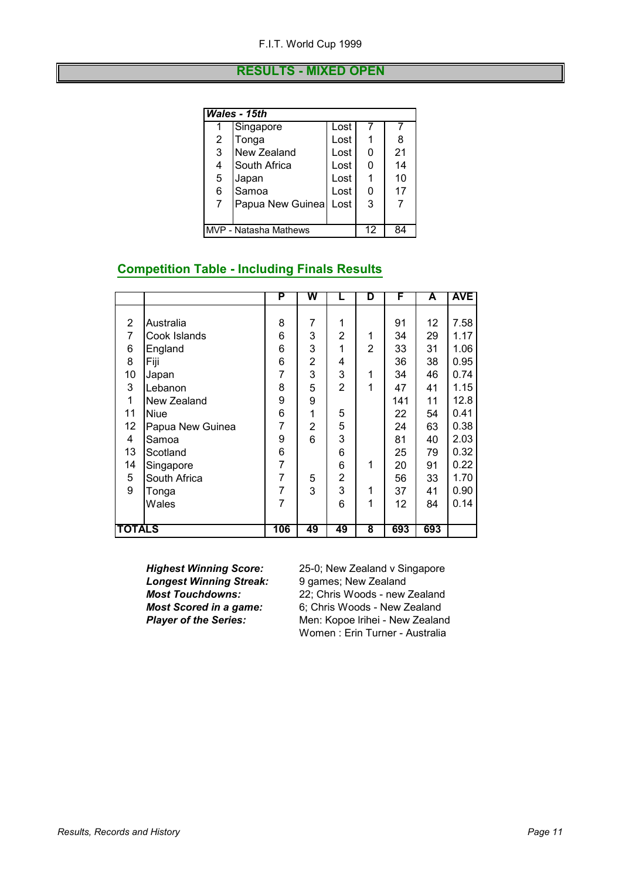#### **RESULTS - MIXED OPEN**

|   | Wales - 15th                      |      |   |    |  |  |  |  |
|---|-----------------------------------|------|---|----|--|--|--|--|
|   | Singapore                         | Lost |   |    |  |  |  |  |
| 2 | Tonga                             | Lost |   | 8  |  |  |  |  |
| 3 | New Zealand                       | Lost | 0 | 21 |  |  |  |  |
| 4 | South Africa                      | Lost | 0 | 14 |  |  |  |  |
| 5 | Japan                             | Lost |   | 10 |  |  |  |  |
| 6 | Samoa                             | Lost | 0 | 17 |  |  |  |  |
| 7 | Papua New Guinea                  | Lost | 3 |    |  |  |  |  |
|   |                                   |      |   |    |  |  |  |  |
|   | MVP - Natasha Mathews<br>12<br>84 |      |   |    |  |  |  |  |

#### **Competition Table - Including Finals Results**

|                |                  | P              | W  | L              | D | F   | A   | <b>AVE</b> |
|----------------|------------------|----------------|----|----------------|---|-----|-----|------------|
|                |                  |                |    |                |   |     |     |            |
| 2              | Australia        | 8              | 7  | 1              |   | 91  | 12  | 7.58       |
| $\overline{7}$ | Cook Islands     | 6              | 3  | 2              | 1 | 34  | 29  | 1.17       |
| 6              | England          | 6              | 3  | 1              | 2 | 33  | 31  | 1.06       |
| 8              | Fiji             | 6              | 2  | 4              |   | 36  | 38  | 0.95       |
| 10             | Japan            | 7              | 3  | 3              | 1 | 34  | 46  | 0.74       |
| 3              | Lebanon          | 8              | 5  | $\overline{2}$ | 1 | 47  | 41  | 1.15       |
| 1              | New Zealand      | 9              | 9  |                |   | 141 | 11  | 12.8       |
| 11             | <b>Niue</b>      | 6              | 1  | 5              |   | 22  | 54  | 0.41       |
| 12             | Papua New Guinea | 7              | 2  | 5              |   | 24  | 63  | 0.38       |
| 4              | Samoa            | 9              | 6  | 3              |   | 81  | 40  | 2.03       |
| 13             | Scotland         | 6              |    | 6              |   | 25  | 79  | 0.32       |
| 14             | Singapore        | $\overline{7}$ |    | 6              | 1 | 20  | 91  | 0.22       |
| 5              | South Africa     | 7              | 5  | $\overline{2}$ |   | 56  | 33  | 1.70       |
| 9              | Tonga            | 7              | 3  | 3              | 1 | 37  | 41  | 0.90       |
|                | Wales            | 7              |    | 6              | 1 | 12  | 84  | 0.14       |
|                |                  |                |    |                |   |     |     |            |
| <b>TOTALS</b>  |                  | 106            | 49 | 49             | 8 | 693 | 693 |            |

**Longest Winning Streak:** 9 games; New Zealand<br>**Most Touchdowns:** 22: Chris Woods - new

*Highest Winning Score:* 25-0; New Zealand v Singapore **Most Touchdowns:** 22; Chris Woods - new Zealand<br>**Most Scored in a game:** 6; Chris Woods - New Zealand *Most Scored in a game:* 6; Chris Woods - New Zealand **Player of the Series:** Men: Kopoe Irihei - New Zealand Women : Erin Turner - Australia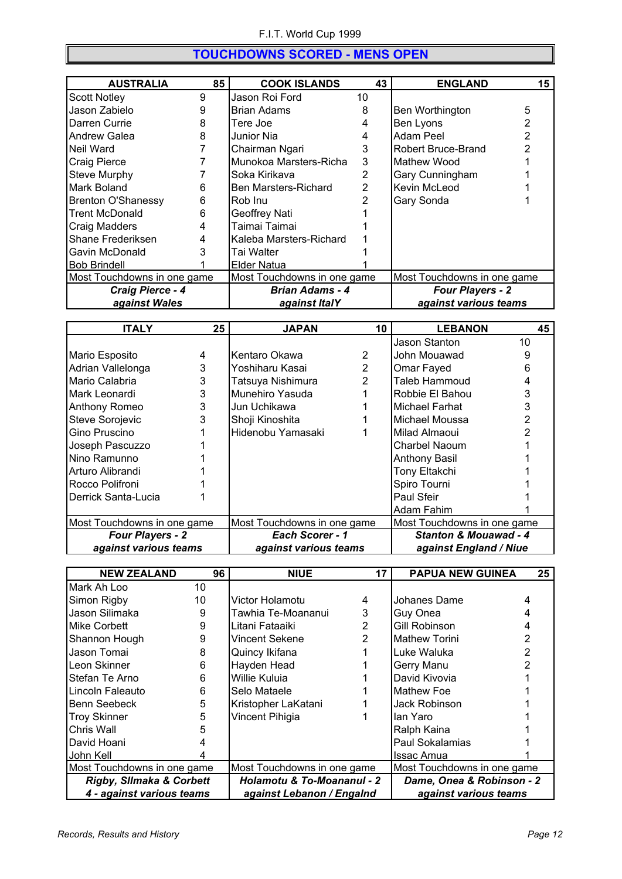#### **TOUCHDOWNS SCORED - MENS OPEN**

| <b>AUSTRALIA</b>            | 85 | <b>COOK ISLANDS</b>         | 43 | <b>ENGLAND</b>              | 15 |
|-----------------------------|----|-----------------------------|----|-----------------------------|----|
| <b>Scott Notley</b>         | 9  | Jason Roi Ford              | 10 |                             |    |
| Jason Zabielo               | 9  | <b>Brian Adams</b>          | 8  | Ben Worthington             | 5  |
| Darren Currie               | 8  | Tere Joe                    |    | Ben Lyons                   |    |
| <b>Andrew Galea</b>         | 8  | Junior Nia                  |    | Adam Peel                   |    |
| Neil Ward                   |    | Chairman Ngari              | 3  | Robert Bruce-Brand          |    |
| Craig Pierce                |    | Munokoa Marsters-Richa      | 3  | Mathew Wood                 |    |
| <b>Steve Murphy</b>         |    | Soka Kirikava               | 2  | Gary Cunningham             |    |
| Mark Boland                 | 6  | Ben Marsters-Richard        | 2  | Kevin McLeod                |    |
| <b>Brenton O'Shanessy</b>   | 6  | IRob Inu                    |    | Gary Sonda                  |    |
| <b>Trent McDonald</b>       | 6  | Geoffrey Nati               |    |                             |    |
| Craig Madders               | 4  | Taimai Taimai               |    |                             |    |
| Shane Frederiksen           | 4  | Kaleba Marsters-Richard     |    |                             |    |
| Gavin McDonald              | 3  | Tai Walter                  |    |                             |    |
| <b>Bob Brindell</b>         |    | <b>IElder Natua</b>         |    |                             |    |
| Most Touchdowns in one game |    | Most Touchdowns in one game |    | Most Touchdowns in one game |    |
| Craig Pierce - 4            |    | <b>Brian Adams - 4</b>      |    | <b>Four Players - 2</b>     |    |
| against Wales               |    | against ItalY               |    | against various teams       |    |

| <b>ITALY</b>                                               | 25 | <b>JAPAN</b>                | 10             | <b>LEBANON</b>                   | 45 |
|------------------------------------------------------------|----|-----------------------------|----------------|----------------------------------|----|
|                                                            |    |                             |                | Jason Stanton                    | 10 |
| Mario Esposito                                             | 4  | Kentaro Okawa               | 2              | John Mouawad                     | 9  |
| Adrian Vallelonga                                          | 3  | Yoshiharu Kasai             | $\overline{2}$ | Omar Fayed                       | 6  |
| Mario Calabria                                             | 3  | Tatsuya Nishimura           | 2              | Taleb Hammoud                    |    |
| Mark Leonardi                                              | 3  | Munehiro Yasuda             |                | Robbie El Bahou                  | 3  |
| Anthony Romeo                                              | 3  | Jun Uchikawa                |                | Michael Farhat                   | 3  |
| <b>Steve Sorojevic</b>                                     | 3  | Shoji Kinoshita             |                | Michael Moussa                   |    |
| Gino Pruscino                                              |    | Hidenobu Yamasaki           |                | Milad Almaoui                    |    |
| Joseph Pascuzzo                                            |    |                             |                | Charbel Naoum                    |    |
| Nino Ramunno                                               |    |                             |                | <b>Anthony Basil</b>             |    |
| Arturo Alibrandi                                           |    |                             |                | Tony Eltakchi                    |    |
| Rocco Polifroni                                            |    |                             |                | Spiro Tourni                     |    |
| Derrick Santa-Lucia                                        |    |                             |                | Paul Sfeir                       |    |
|                                                            |    |                             |                | Adam Fahim                       |    |
| Most Touchdowns in one game<br>Most Touchdowns in one game |    | Most Touchdowns in one game |                |                                  |    |
| <b>Four Players - 2</b>                                    |    | Each Scorer - 1             |                | <b>Stanton &amp; Mouawad - 4</b> |    |
| against various teams                                      |    | against various teams       |                | against England / Niue           |    |

| <b>NEW ZEALAND</b>                  | 96 | <b>NIUE</b>                           | 17 | <b>PAPUA NEW GUINEA</b>     | 25 |
|-------------------------------------|----|---------------------------------------|----|-----------------------------|----|
| Mark Ah Loo                         | 10 |                                       |    |                             |    |
| Simon Rigby                         | 10 | Victor Holamotu                       | 4  | Johanes Dame                |    |
| Jason Silimaka                      | 9  | Tawhia Te-Moananui                    | 3  | Guy Onea                    |    |
| Mike Corbett                        | 9  | Litani Fataaiki                       | 2  | Gill Robinson               | 4  |
| Shannon Hough                       | 9  | Vincent Sekene                        | 2  | <b>Mathew Torini</b>        | 2  |
| Jason Tomai                         | 8  | Quincy Ikifana                        |    | Luke Waluka                 | 2  |
| Leon Skinner                        | 6  | Hayden Head                           |    | Gerry Manu                  |    |
| Stefan Te Arno                      | 6  | Willie Kuluia                         |    | David Kivovia               |    |
| Lincoln Faleauto                    | 6  | Selo Mataele                          |    | Mathew Foe                  |    |
| Benn Seebeck                        | 5  | Kristopher LaKatani                   |    | Jack Robinson               |    |
| <b>Troy Skinner</b>                 | 5  | Vincent Pihigia                       |    | lan Yaro                    |    |
| Chris Wall                          | 5  |                                       |    | Ralph Kaina                 |    |
| David Hoani                         |    |                                       |    | Paul Sokalamias             |    |
| John Kell                           |    |                                       |    | <b>Issac Amua</b>           |    |
| Most Touchdowns in one game         |    | Most Touchdowns in one game           |    | Most Touchdowns in one game |    |
| <b>Rigby, Sllmaka &amp; Corbett</b> |    | <b>Holamotu &amp; To-Moananul - 2</b> |    | Dame, Onea & Robinson - 2   |    |
| 4 - against various teams           |    | against Lebanon / Engalnd             |    | against various teams       |    |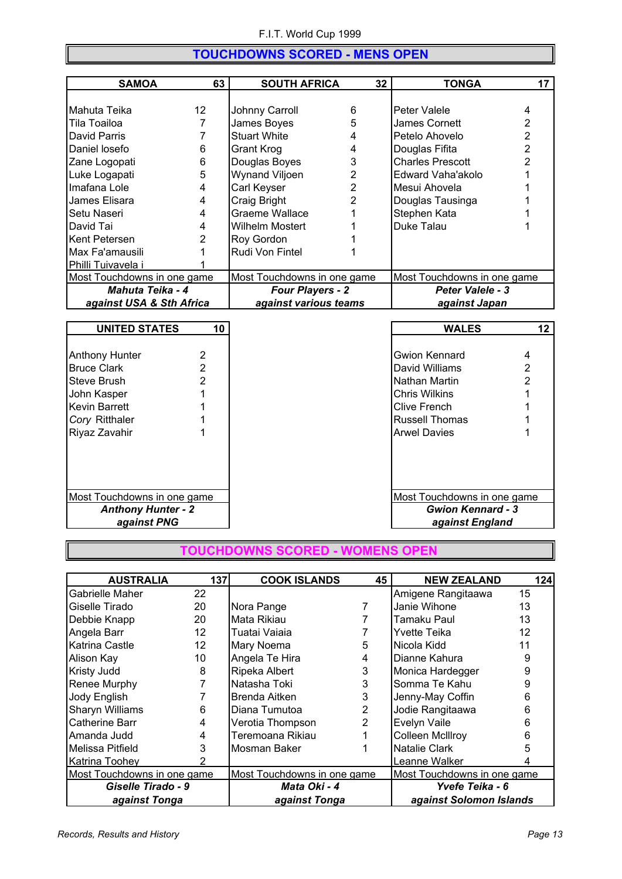#### **TOUCHDOWNS SCORED - MENS OPEN**

| <b>SAMOA</b>                | 63 | <b>SOUTH AFRICA</b>         | 32 | <b>TONGA</b>                | 17 |
|-----------------------------|----|-----------------------------|----|-----------------------------|----|
|                             |    |                             |    |                             |    |
| Mahuta Teika                | 12 | Johnny Carroll              | 6  | Peter Valele                | 4  |
| Tila Toailoa                |    | James Boyes                 | 5  | James Cornett               | 2  |
| David Parris                |    | <b>Stuart White</b>         |    | Petelo Ahovelo              | 2  |
| Daniel losefo               | 6  | Grant Krog                  | 4  | Douglas Fifita              |    |
| Zane Logopati               | 6  | Douglas Boyes               | 3  | <b>Charles Prescott</b>     |    |
| Luke Logapati               | 5  | Wynand Viljoen              | 2  | Edward Vaha'akolo           |    |
| Imafana Lole                | 4  | Carl Keyser                 | 2  | Mesui Ahovela               |    |
| James Elisara               | 4  | Craig Bright                | 2  | Douglas Tausinga            |    |
| Setu Naseri                 | 4  | Graeme Wallace              |    | Stephen Kata                |    |
| David Tai                   | 4  | Wilhelm Mostert             |    | Duke Talau                  |    |
| Kent Petersen               | 2  | Roy Gordon                  |    |                             |    |
| Max Fa'amausili             |    | Rudi Von Fintel             |    |                             |    |
| Philli Tuivavela i          |    |                             |    |                             |    |
| Most Touchdowns in one game |    | Most Touchdowns in one game |    | Most Touchdowns in one game |    |
| Mahuta Teika - 4            |    | <b>Four Players - 2</b>     |    | <b>Peter Valele - 3</b>     |    |
| against USA & Sth Africa    |    | against various teams       |    | against Japan               |    |

| <b>UNITED STATES</b>        | 10 | <b>WALES</b>                | 12 |
|-----------------------------|----|-----------------------------|----|
|                             |    |                             |    |
| <b>Anthony Hunter</b>       | 2  | Gwion Kennard               |    |
| <b>Bruce Clark</b>          |    | David Williams              |    |
| Steve Brush                 |    | Nathan Martin               |    |
| John Kasper                 |    | <b>Chris Wilkins</b>        |    |
| <b>Kevin Barrett</b>        |    | <b>Clive French</b>         |    |
| Cory Ritthaler              |    | Russell Thomas              |    |
| Riyaz Zavahir               |    | <b>Arwel Davies</b>         |    |
|                             |    |                             |    |
|                             |    |                             |    |
|                             |    |                             |    |
|                             |    |                             |    |
| Most Touchdowns in one game |    | Most Touchdowns in one game |    |
| <b>Anthony Hunter - 2</b>   |    | <b>Gwion Kennard - 3</b>    |    |
| against PNG                 |    | against England             |    |

**TOUCHDOWNS SCORED - WOMENS OPEN**

| <b>AUSTRALIA</b>       | 137                         | <b>COOK ISLANDS</b> | 45                          | <b>NEW ZEALAND</b>          | 124 |
|------------------------|-----------------------------|---------------------|-----------------------------|-----------------------------|-----|
| Gabrielle Maher        | 22                          |                     |                             | Amigene Rangitaawa          | 15  |
| Giselle Tirado         | 20                          | Nora Pange          |                             | Janie Wihone                | 13  |
| Debbie Knapp           | 20                          | Mata Rikiau         |                             | Tamaku Paul                 | 13  |
| Angela Barr            | 12                          | Tuatai Vaiaia       |                             | Yvette Teika                | 12  |
| <b>Katrina Castle</b>  | $12 \overline{ }$           | Mary Noema          | 5                           | Nicola Kidd                 | 11  |
| Alison Kay             | 10                          | Angela Te Hira      | 4                           | Dianne Kahura               | 9   |
| <b>Kristy Judd</b>     | 8                           | Ripeka Albert       | 3                           | Monica Hardegger            | 9   |
| Renee Murphy           |                             | Natasha Toki        | 3                           | Somma Te Kahu               | 9   |
| Jody English           |                             | Brenda Aitken       | 3                           | Jenny-May Coffin            | 6   |
| <b>Sharyn Williams</b> | 6                           | Diana Tumutoa       | $\overline{2}$              | Jodie Rangitaawa            | 6   |
| Catherine Barr         | 4                           | Verotia Thompson    | $\overline{2}$              | Evelyn Vaile                | 6   |
| Amanda Judd            | 4                           | Teremoana Rikiau    |                             | <b>Colleen McIllroy</b>     | 6   |
| lMelissa Pitfield      | 3                           | Mosman Baker        |                             | <b>Natalie Clark</b>        | 5   |
| Katrina Toohey         |                             |                     |                             | Leanne Walker               |     |
|                        | Most Touchdowns in one game |                     | Most Touchdowns in one game | Most Touchdowns in one game |     |
| Giselle Tirado - 9     |                             | Mata Oki - 4        |                             | Yvefe Teika - 6             |     |
| against Tonga          |                             | against Tonga       |                             | against Solomon Islands     |     |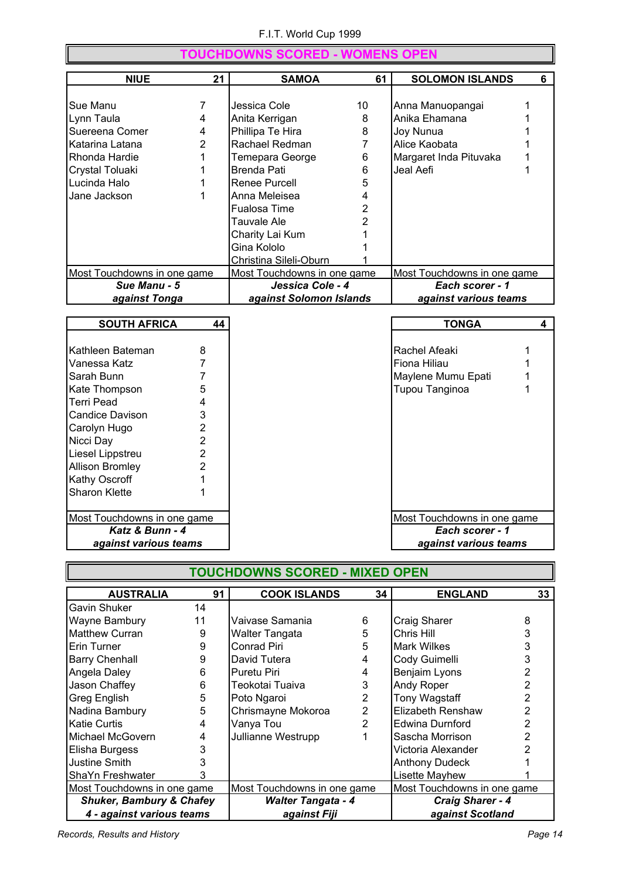|                             |                | <b>TOUCHDOWNS SCORED - WOMENS OPEN</b> |                |                             |                         |
|-----------------------------|----------------|----------------------------------------|----------------|-----------------------------|-------------------------|
| <b>NIUE</b>                 | 21             | <b>SAMOA</b>                           | 61             | <b>SOLOMON ISLANDS</b>      | 6                       |
|                             |                |                                        |                |                             |                         |
| Sue Manu                    | 7              | Jessica Cole                           | 10             | Anna Manuopangai            | 1                       |
| Lynn Taula                  | 4              | Anita Kerrigan                         | 8              | Anika Ehamana               |                         |
| Suereena Comer              | 4              | Phillipa Te Hira                       | 8              | Joy Nunua                   |                         |
| Katarina Latana             | 2              | Rachael Redman                         | $\overline{7}$ | Alice Kaobata               |                         |
| Rhonda Hardie               | 1              | Temepara George                        | 6              | Margaret Inda Pituvaka      | 1                       |
| Crystal Toluaki             | 1              | <b>Brenda Pati</b>                     | 6              | Jeal Aefi                   | 1                       |
| Lucinda Halo                | 1              | Renee Purcell                          | 5              |                             |                         |
| Jane Jackson                | 1              | Anna Meleisea                          | 4              |                             |                         |
|                             |                | <b>Fualosa Time</b>                    | $\overline{2}$ |                             |                         |
|                             |                | <b>Tauvale Ale</b>                     | $\overline{2}$ |                             |                         |
|                             |                | Charity Lai Kum                        | 1              |                             |                         |
|                             |                | Gina Kololo                            | 1              |                             |                         |
|                             |                | Christina Sileli-Oburn                 |                |                             |                         |
| Most Touchdowns in one game |                | Most Touchdowns in one game            |                | Most Touchdowns in one game |                         |
| Sue Manu - 5                |                | Jessica Cole - 4                       |                | Each scorer - 1             |                         |
| against Tonga               |                | against Solomon Islands                |                | against various teams       |                         |
|                             |                |                                        |                |                             |                         |
| <b>SOUTH AFRICA</b>         | 44             |                                        |                | <b>TONGA</b>                | $\overline{\mathbf{4}}$ |
| Kathleen Bateman            | 8              |                                        |                | Rachel Afeaki               | 1                       |
| Vanessa Katz                | 7              |                                        |                | Fiona Hiliau                | 1                       |
| Sarah Bunn                  | 7              |                                        |                | Maylene Mumu Epati          | 1                       |
| Kate Thompson               | 5              |                                        |                | Tupou Tanginoa              | 1                       |
| Terri Pead                  | 4              |                                        |                |                             |                         |
| <b>Candice Davison</b>      | 3              |                                        |                |                             |                         |
| Carolyn Hugo                | 2              |                                        |                |                             |                         |
| Nicci Day                   | $\overline{2}$ |                                        |                |                             |                         |
| Liesel Lippstreu            | 2              |                                        |                |                             |                         |
| <b>Allison Bromley</b>      | $\overline{2}$ |                                        |                |                             |                         |
| <b>Kathy Oscroff</b>        | 1              |                                        |                |                             |                         |
| <b>Sharon Klette</b>        | 1              |                                        |                |                             |                         |
|                             |                |                                        |                |                             |                         |
| Most Touchdowns in one game |                |                                        |                | Most Touchdowns in one game |                         |
| Katz & Bunn - 4             |                |                                        |                | Each scorer - 1             |                         |
| against various teams       |                |                                        |                | against various teams       |                         |

|                                     | <b>TOUCHDOWNS SCORED - MIXED OPEN</b> |                             |                |                             |    |  |  |
|-------------------------------------|---------------------------------------|-----------------------------|----------------|-----------------------------|----|--|--|
| <b>AUSTRALIA</b>                    | 91                                    | <b>COOK ISLANDS</b>         | 34             | <b>ENGLAND</b>              | 33 |  |  |
| Gavin Shuker                        | 14                                    |                             |                |                             |    |  |  |
| Wayne Bambury                       | 11                                    | Vaivase Samania             | 6              | Craig Sharer                | 8  |  |  |
| <b>Matthew Curran</b>               | 9                                     | Walter Tangata              | 5              | Chris Hill                  | 3  |  |  |
| Erin Turner                         | 9                                     | Conrad Piri                 | 5              | Mark Wilkes                 | 3  |  |  |
| <b>Barry Chenhall</b>               | 9                                     | David Tutera                | 4              | Cody Guimelli               | 3  |  |  |
| Angela Daley                        | 6                                     | Puretu Piri                 | 4              | Benjaim Lyons               |    |  |  |
| Jason Chaffey                       | 6                                     | Teokotai Tuaiva             | 3              | Andy Roper                  | 2  |  |  |
| Greg English                        | 5                                     | Poto Ngaroi                 | 2              | <b>Tony Wagstaff</b>        | 2  |  |  |
| Nadina Bambury                      | 5                                     | Chrismayne Mokoroa          | $\overline{2}$ | Elizabeth Renshaw           | 2  |  |  |
| <b>Katie Curtis</b>                 | 4                                     | Vanya Tou                   | 2              | Edwina Durnford             | 2  |  |  |
| Michael McGovern                    | 4                                     | Jullianne Westrupp          |                | Sascha Morrison             | 2  |  |  |
| Elisha Burgess                      | 3                                     |                             |                | Victoria Alexander          |    |  |  |
| Justine Smith                       | 3                                     |                             |                | <b>Anthony Dudeck</b>       |    |  |  |
| ShaYn Freshwater                    |                                       |                             |                | Lisette Mayhew              |    |  |  |
| Most Touchdowns in one game         |                                       | Most Touchdowns in one game |                | Most Touchdowns in one game |    |  |  |
| <b>Shuker, Bambury &amp; Chafey</b> |                                       | <b>Walter Tangata - 4</b>   |                | <b>Craig Sharer - 4</b>     |    |  |  |
| 4 - against various teams           |                                       | against Fiji                |                | against Scotland            |    |  |  |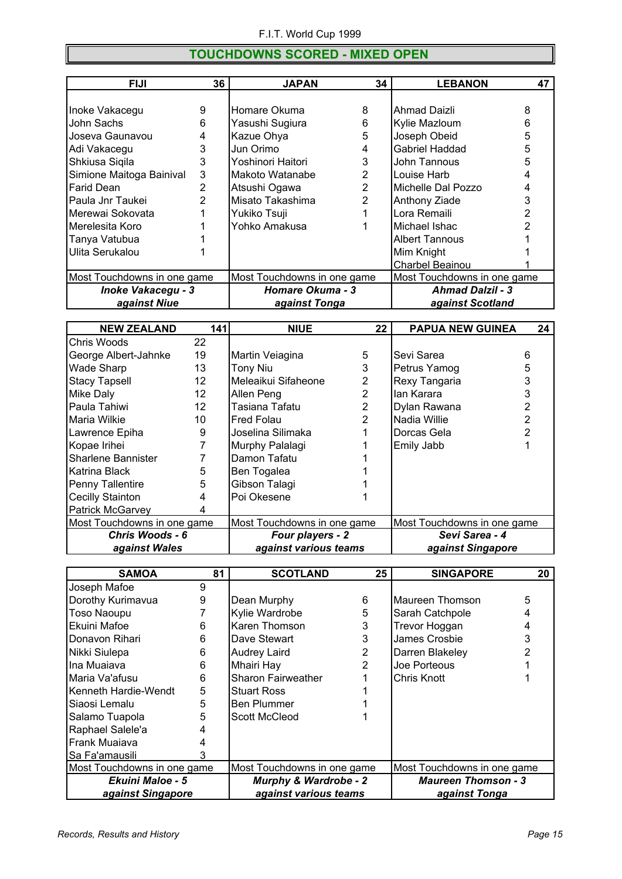#### **TOUCHDOWNS SCORED - MIXED OPEN**

| <b>FIJI</b>                 | 36 | <b>JAPAN</b>                | 34             | <b>LEBANON</b>              | 47 |
|-----------------------------|----|-----------------------------|----------------|-----------------------------|----|
|                             |    |                             |                |                             |    |
| Inoke Vakacegu              | 9  | Homare Okuma                | 8              | Ahmad Daizli                | 8  |
| John Sachs                  | 6  | Yasushi Sugiura             | 6              | Kylie Mazloum               | 6  |
| Joseva Gaunavou             | 4  | Kazue Ohya                  | 5              | Joseph Obeid                | 5  |
| Adi Vakacegu                | 3  | Jun Orimo                   | 4              | Gabriel Haddad              | 5  |
| Shkiusa Siqila              | 3  | Yoshinori Haitori           | 3              | John Tannous                | 5  |
| Simione Maitoga Bainival    | 3  | Makoto Watanabe             | $\overline{2}$ | Louise Harb                 | 4  |
| Farid Dean                  | 2  | Atsushi Ogawa               | $\overline{2}$ | Michelle Dal Pozzo          | 4  |
| Paula Jnr Taukei            | 2  | Misato Takashima            | 2              | Anthony Ziade               |    |
| Merewai Sokovata            |    | Yukiko Tsuji                |                | Lora Remaili                |    |
| Merelesita Koro             |    | Yohko Amakusa               |                | Michael Ishac               |    |
| Tanya Vatubua               |    |                             |                | Albert Tannous              |    |
| Ulita Serukalou             |    |                             |                | Mim Knight                  |    |
|                             |    |                             |                | Charbel Beainou             |    |
| Most Touchdowns in one game |    | Most Touchdowns in one game |                | Most Touchdowns in one game |    |
| <b>Inoke Vakacegu - 3</b>   |    | <b>Homare Okuma - 3</b>     |                | <b>Ahmad Dalzil - 3</b>     |    |
| against Niue                |    | against Tonga               |                | against Scotland            |    |

| <b>NEW ZEALAND</b>          | 141 | <b>NIUE</b>                 | 22             | <b>PAPUA NEW GUINEA</b>     | 24 |
|-----------------------------|-----|-----------------------------|----------------|-----------------------------|----|
| Chris Woods                 | 22  |                             |                |                             |    |
| George Albert-Jahnke        | 19  | Martin Veiagina             | 5              | Sevi Sarea                  | 6  |
| Wade Sharp                  | 13  | <b>Tony Niu</b>             | 3              | Petrus Yamog                | 5  |
| <b>Stacy Tapsell</b>        | 12  | Meleaikui Sifaheone         | 2              | Rexy Tangaria               | 3  |
| Mike Daly                   | 12  | Allen Peng                  | 2              | lan Karara                  | 3  |
| Paula Tahiwi                | 12  | Tasiana Tafatu              | $\overline{2}$ | Dylan Rawana                |    |
| Maria Wilkie                | 10  | <b>Fred Folau</b>           | 2              | Nadia Willie                |    |
| Lawrence Epiha              | 9   | Joselina Silimaka           |                | Dorcas Gela                 |    |
| Kopae Irihei                |     | Murphy Palalagi             |                | Emily Jabb                  |    |
| <b>Sharlene Bannister</b>   |     | Damon Tafatu                |                |                             |    |
| Katrina Black               | 5   | Ben Togalea                 |                |                             |    |
| Penny Tallentire            | 5   | Gibson Talagi               |                |                             |    |
| Cecilly Stainton            | 4   | Poi Okesene                 |                |                             |    |
| <b>Patrick McGarvey</b>     |     |                             |                |                             |    |
| Most Touchdowns in one game |     | Most Touchdowns in one game |                | Most Touchdowns in one game |    |
| Chris Woods - 6             |     | Four players - 2            |                | Sevi Sarea - 4              |    |
| against Wales               |     | against various teams       |                | against Singapore           |    |

| <b>SAMOA</b>                | 81 | <b>SCOTLAND</b>                  | 25 | <b>SINGAPORE</b>            | 20 |
|-----------------------------|----|----------------------------------|----|-----------------------------|----|
| Joseph Mafoe                | 9  |                                  |    |                             |    |
| Dorothy Kurimavua           | 9  | Dean Murphy                      | 6  | Maureen Thomson             | 5  |
| <b>Toso Naoupu</b>          |    | Kylie Wardrobe                   | 5  | Sarah Catchpole             | 4  |
| Ekuini Mafoe                | 6  | Karen Thomson                    | 3  | Trevor Hoggan               | 4  |
| Donavon Rihari              | 6  | Dave Stewart                     | 3  | James Crosbie               | 3  |
| Nikki Siulepa               | 6  | <b>Audrey Laird</b>              | 2  | Darren Blakeley             |    |
| Ina Muaiava                 | 6  | <b>Mhairi Hay</b>                | 2  | Joe Porteous                |    |
| Maria Va'afusu              | 6  | Sharon Fairweather               |    | Chris Knott                 |    |
| Kenneth Hardie-Wendt        | 5  | <b>Stuart Ross</b>               |    |                             |    |
| Siaosi Lemalu               | 5  | <b>Ben Plummer</b>               |    |                             |    |
| Salamo Tuapola              | 5  | <b>Scott McCleod</b>             |    |                             |    |
| Raphael Salele'a            |    |                                  |    |                             |    |
| Frank Muaiava               |    |                                  |    |                             |    |
| Sa Fa'amausili              |    |                                  |    |                             |    |
| Most Touchdowns in one game |    | Most Touchdowns in one game      |    | Most Touchdowns in one game |    |
| <b>Ekuini Maloe - 5</b>     |    | <b>Murphy &amp; Wardrobe - 2</b> |    | <b>Maureen Thomson - 3</b>  |    |
| against Singapore           |    | against various teams            |    | against Tonga               |    |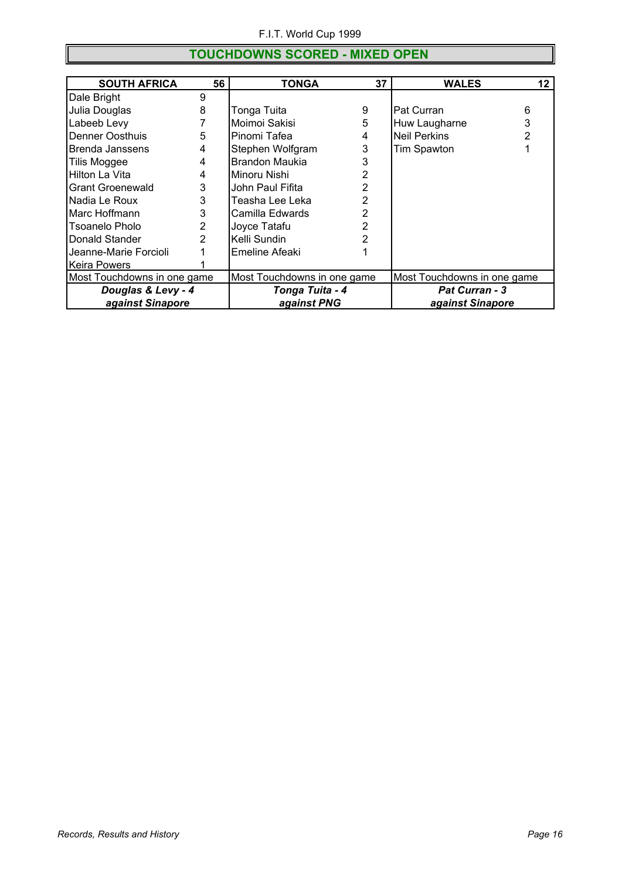#### **TOUCHDOWNS SCORED - MIXED OPEN**

| <b>SOUTH AFRICA</b>         | 56             | <b>TONGA</b>                | 37             | <b>WALES</b>                | 12 |  |  |
|-----------------------------|----------------|-----------------------------|----------------|-----------------------------|----|--|--|
| Dale Bright                 | 9              |                             |                |                             |    |  |  |
| Julia Douglas               | 8              | Tonga Tuita                 | 9              | Pat Curran                  | 6  |  |  |
| Labeeb Levy                 |                | Moimoi Sakisi               | 5              | Huw Laugharne               | 3  |  |  |
| <b>Denner Oosthuis</b>      | 5              | Pinomi Tafea                | 4              | <b>Neil Perkins</b>         | 2  |  |  |
| Brenda Janssens             | 4              | Stephen Wolfgram            | 3              | Tim Spawton                 |    |  |  |
| Tilis Moggee                | 4              | <b>Brandon Maukia</b>       |                |                             |    |  |  |
| Hilton La Vita              | 4              | Minoru Nishi                | 2              |                             |    |  |  |
| <b>Grant Groenewald</b>     | 3              | John Paul Fifita            | 2              |                             |    |  |  |
| Nadia Le Roux               | 3              | Teasha Lee Leka             | $\overline{2}$ |                             |    |  |  |
| IMarc Hoffmann              | 3              | Camilla Edwards             | 2              |                             |    |  |  |
| Tsoanelo Pholo              | $\overline{2}$ | Joyce Tatafu                | 2              |                             |    |  |  |
| Donald Stander              | $\overline{2}$ | Kelli Sundin                |                |                             |    |  |  |
| Jeanne-Marie Forcioli       |                | Emeline Afeaki              |                |                             |    |  |  |
| Keira Powers                |                |                             |                |                             |    |  |  |
| Most Touchdowns in one game |                | Most Touchdowns in one game |                | Most Touchdowns in one game |    |  |  |
| Douglas & Levy - 4          |                | Tonga Tuita - 4             |                | <b>Pat Curran - 3</b>       |    |  |  |
| against Sinapore            |                | against PNG                 |                | against Sinapore            |    |  |  |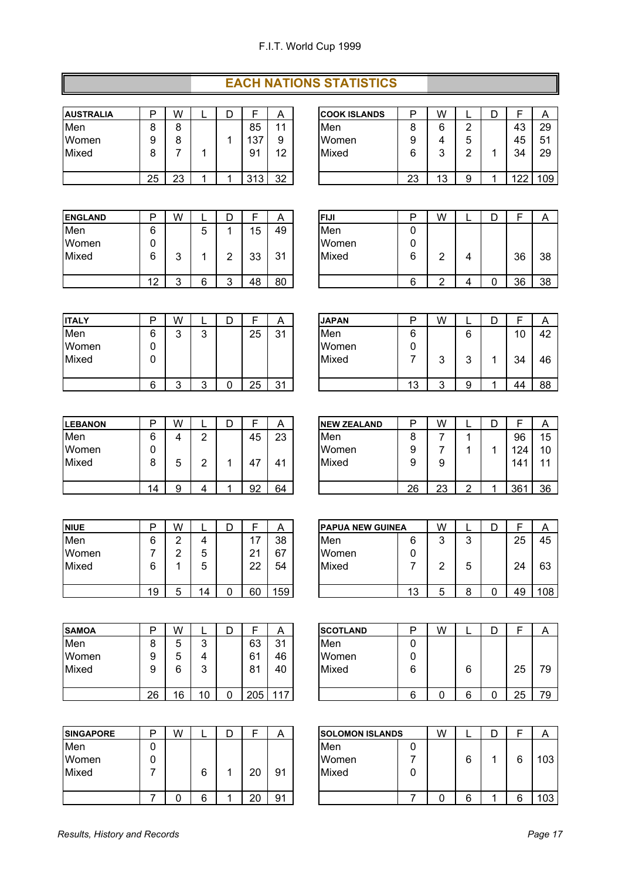#### **EACH NATIONS STATISTICS**

| <b>AUSTRALIA</b> |    | W  | D |     | Α  |
|------------------|----|----|---|-----|----|
| Men              | 8  | 8  |   | 85  | 11 |
| Women            | 9  | 8  |   | 137 | 9  |
| Mixed            | 8  |    |   | 91  | 12 |
|                  |    |    |   |     |    |
|                  | 25 | 23 |   | 313 | 32 |

| <b>AUSTRALIA</b> | D      | W      |  |                | Α  | <b>ICOOK ISLANDS</b> | P      | W               |   |                 |
|------------------|--------|--------|--|----------------|----|----------------------|--------|-----------------|---|-----------------|
| Men              | ົ      | ο<br>о |  | 85             | 44 | <b>Men</b>           | ິ<br>о | ◠               | ົ |                 |
| Women            | 9      | ο<br>о |  | 137            | 9  | Women                | 9      |                 | b |                 |
| Mixed            | ο<br>O |        |  | 9 <sub>1</sub> | 12 | Mixed                | 6      | ◠               |   | 31              |
|                  |        |        |  |                |    |                      |        |                 |   |                 |
|                  | 25     | 23     |  | 313            | 32 |                      | 23     | $\sqrt{2}$<br>u | c | 40 <sup>o</sup> |

| <b>ENGLAND</b> | D  | W | ▃      | ◡ |    | A       | IFIJI        | D | W |   | ◡ |    |    |
|----------------|----|---|--------|---|----|---------|--------------|---|---|---|---|----|----|
| Men            | 6  |   | π<br>ີ |   | 15 | 49      | <b>I</b> Men | 0 |   |   |   |    |    |
| Women          | 0  |   |        |   |    |         | Women        | 0 |   |   |   |    |    |
| Mixed          | 6  | ◠ |        | ⌒ | 33 | 31<br>ບ | Mixed        | 6 | ◠ | 4 |   | 36 | 38 |
|                | 12 | ◠ | а      | ◠ | 48 | 80      |              | 6 | ◠ |   |   | 36 | 38 |

| <b>ITALY</b> |   | W |        |    | A       | <b>JAPAN</b> | □ |
|--------------|---|---|--------|----|---------|--------------|---|
| Men          | 6 | 3 | 3      | 25 | 31      | Men          | 6 |
| Women        |   |   |        |    |         | Women        | 0 |
| Mixed        |   |   |        |    |         | Mixed        |   |
|              |   |   |        |    |         |              |   |
|              |   | ົ | ◠<br>ີ | 25 | 31<br>◡ |              |   |

| <b>LEBANON</b> | D  | W |   | D |    |    |
|----------------|----|---|---|---|----|----|
| Men            | 6  |   | 2 |   | 45 | 23 |
| Women          |    |   |   |   |    |    |
| Mixed          | 8  | 5 | 2 | 1 | 47 | 41 |
|                |    |   |   |   |    |    |
|                | 14 |   |   |   | 92 | 64 |

| <b>INIUE</b> | רו | W |    |    | Α  | <b>PAPUA NEW GUINEA</b> |   |
|--------------|----|---|----|----|----|-------------------------|---|
| Men          | 6  | ົ |    | 17 | 38 | Men                     | 6 |
| Women        |    | ົ | 5  | 21 | 67 | Women                   | 0 |
| Mixed        | 6  |   | 5  | 22 | 54 | Mixed                   |   |
|              |    |   |    |    |    |                         |   |
|              | 19 | 5 | 14 | 60 | 59 |                         |   |

| <b>SAMOA</b> |    | W  |     |     | A   | <b>SCOTLAND</b> | Р |
|--------------|----|----|-----|-----|-----|-----------------|---|
| Men          |    | 5  | 3   | 63  | 31  | Men             | 0 |
| Women        | 9  | 5  | 4   | 61  | 46  | Women           | 0 |
| Mixed        | 9  | 6  | 3   | 81  | 40  | Mixed           | 6 |
|              |    |    |     |     |     |                 |   |
|              | 26 | 16 | 1 C | 205 | 117 |                 | հ |

| <b>SINGAPORE</b> | n | W |        |                      | ⌒        | <b>ISOLOMON ISLANDS</b> |  |
|------------------|---|---|--------|----------------------|----------|-------------------------|--|
| Men<br>Women     |   |   |        |                      |          | Men<br>Women            |  |
| Mixed            |   |   | 6<br>6 | 20<br>2 <sub>l</sub> | 91<br>91 | Mixed                   |  |

| <b>ENGLAND</b> | D         | W      | -      | ┍<br>◡ |    | A  | <b>FIJI</b> | n | w<br>v v |   |    | $\overline{ }$ |
|----------------|-----------|--------|--------|--------|----|----|-------------|---|----------|---|----|----------------|
| Men            | 6         |        | ∽<br>u |        | 5  | 49 | Men         | v |          |   |    |                |
| Women          | 0         |        |        |        |    |    | Women       | U |          |   |    |                |
| Mixed          | 6         | ◠<br>ບ |        | ╭      | 33 | 31 | Mixed       | 6 |          | 4 | 36 | 38             |
|                |           |        |        |        |    |    |             |   |          |   |    |                |
|                | 10<br>. . | ⌒<br>ີ | R      | ╭      | 48 | 80 |             | 6 | ◠        |   | 36 | 38             |
|                |           |        |        |        |    |    |             |   |          |   |    |                |

| <b>ITALY</b> | ח      | W      |        |    | Α  | <b>JAPAN</b> | D        | W |        |                 |    |
|--------------|--------|--------|--------|----|----|--------------|----------|---|--------|-----------------|----|
| Men          | 6      | ◠<br>⊾ | ົ<br>J | 25 | 31 | Men          | 6        |   | 6      | $\overline{10}$ | 42 |
| Women        | r<br>υ |        |        |    |    | Women        | υ        |   |        |                 |    |
| Mixed        | 0      |        |        |    |    | Mixed        |          | ົ | ╭<br>ີ | م?<br>v         | 46 |
|              |        |        |        |    |    |              |          |   |        |                 |    |
|              | 6      | ⌒      | ⌒      | 25 | 31 |              | 10<br>J. | ⌒ | Ω      | $\Delta\angle$  | 88 |

| <b>LEBANON</b> | רו | W      |   |    | A              | <b>INEW ZEALAND</b> | P  | W        |  |     | $\sqrt{ }$ |
|----------------|----|--------|---|----|----------------|---------------------|----|----------|--|-----|------------|
| Men            | 6  |        | ⌒ | 45 | 23             | <b>Men</b>          | 8  |          |  | 96  | 15         |
| Women          | L  |        |   |    |                | Women               | 9  |          |  | 124 | 10         |
| Mixed          | ο  | ∽<br>ັ | ⌒ | Δ  | 4 <sup>1</sup> | Mixed               | g  | о<br>c   |  | 141 | 44         |
|                |    |        |   |    |                |                     |    |          |  |     |            |
|                | 14 |        |   | 92 | 64             |                     | 26 | nn<br>∠J |  | 361 | 36         |

| <b>NIUE</b> | D  | W |    |              | $\overline{a}$ |            | <b>IPAPUA NEW GUINEA</b> |         | W |        |    | A   |
|-------------|----|---|----|--------------|----------------|------------|--------------------------|---------|---|--------|----|-----|
| Men         | 6  |   | 4  | . –<br>. .   | 38             | <b>Men</b> |                          | 6       | ⌒ | ົ<br>ັ | 25 | 45  |
| Women       |    |   | 5  | $2^{\prime}$ | 67             |            | Women                    | 0       |   |        |    |     |
| Mixed       | 6  |   | 5  | 22           | 54             |            | Mixed                    |         |   | 5      | 24 | 63  |
|             |    |   |    |              |                |            |                          |         |   |        |    |     |
|             | 19 |   | 14 | 60           | 59             |            |                          | 10<br>w |   |        | 49 | 108 |

| <b>SAMOA</b> | n            | W  |          |     | A   | <b>SCOTLAND</b> |   | W |   |          |    |
|--------------|--------------|----|----------|-----|-----|-----------------|---|---|---|----------|----|
| Men          | $\circ$<br>O |    | ◠<br>u   | 63  | 31  | Men             | ⊾ |   |   |          |    |
| Women        | g            |    |          | 61  | 46  | Women           | ╰ |   |   |          |    |
| Mixed        | g            | 6  | ◠<br>J   | 81  | 40  | Mixed           | 6 |   | 6 | 25       | 79 |
|              |              |    |          |     |     |                 |   |   |   |          |    |
|              | 26           | 16 | 1 O<br>U | 205 | 117 |                 | 6 |   | ⌒ | OE.<br>∼ | 79 |

| <b>SINGAPORE</b>      | D | W |   |    | A  | <b>ISOLOMON ISLANDS</b>       | W |   |  |                  |
|-----------------------|---|---|---|----|----|-------------------------------|---|---|--|------------------|
| Men<br>Women<br>Mixed |   |   | 6 | 20 | 91 | <b>IMen</b><br>Women<br>Mixed |   | c |  | 103 <sub>1</sub> |
|                       |   |   | c | 20 | 91 |                               |   | ⌒ |  | 103              |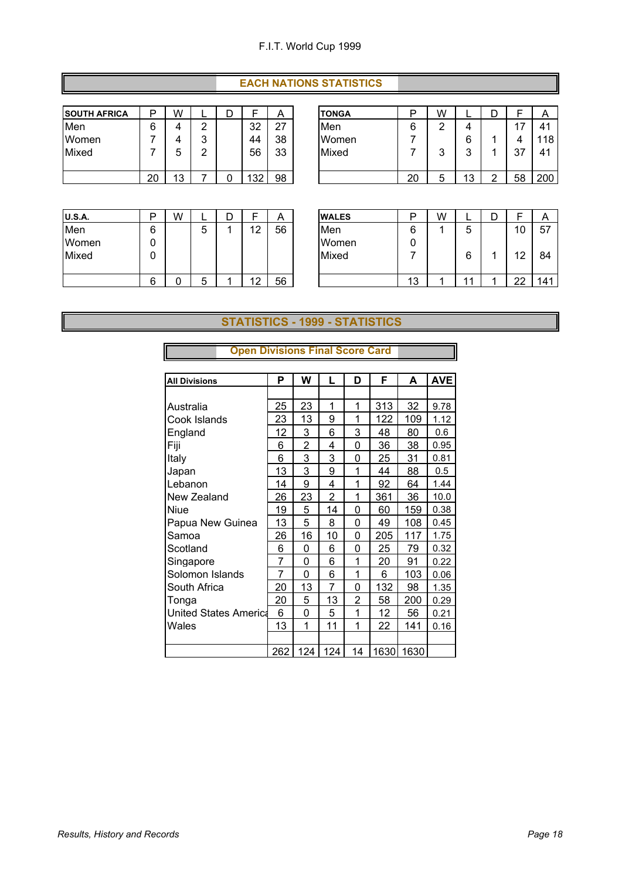#### **EACH NATIONS STATISTICS**

| <b>SOUTH AFRICA</b> | D  | W  |   | D |     | Α  |
|---------------------|----|----|---|---|-----|----|
| Men                 | 6  |    | 2 |   | 32  | 27 |
| Women               |    |    | 3 |   | 44  | 38 |
| Mixed               |    | 5  | 2 |   | 56  | 33 |
|                     |    |    |   |   |     |    |
|                     | 20 | 13 |   |   | 132 | 98 |

| <b>SOUTH AFRICA</b> | D  | W               |        |     | A  | <b>TONGA</b> | D  | W |   |    | $\sqrt{ }$   |
|---------------------|----|-----------------|--------|-----|----|--------------|----|---|---|----|--------------|
| Men                 | 6  |                 | ◠      | 32  | 27 | <b>Men</b>   | 6  | ⌒ |   |    | 41           |
| Women               |    |                 | ◠<br>ີ | 44  | 38 | Women        |    |   |   |    | 118          |
| Mixed               |    | ັ               | ◠<br>_ | 56  | 33 | Mixed        |    | ◠ | ◠ | 37 | $4^{\prime}$ |
|                     |    |                 |        |     |    |              |    |   |   |    |              |
|                     | 20 | $\sqrt{2}$<br>u |        | 132 | 98 |              | 20 |   | u | 58 | 200          |

| <b>U.S.A.</b> | רו | W |   |    | A  | <b>WALES</b> | Р |
|---------------|----|---|---|----|----|--------------|---|
| Men           | 6  |   | 5 | 12 | 56 | Men          | 6 |
| Women         |    |   |   |    |    | Women        | 0 |
| Mixed         | O  |   |   |    |    | Mixed        |   |
|               |    |   |   |    |    |              |   |
|               | 6  |   | 5 | 10 | 56 |              |   |

| <b>U.S.A.</b> | D      | W |        | ∽ |                | A  | <b>WALES</b> | D  | W |        |         | r   |
|---------------|--------|---|--------|---|----------------|----|--------------|----|---|--------|---------|-----|
| Men           | 6      |   | ∽<br>ີ |   | 10<br>∼        | 56 | Men          | 6  |   | ᄃ<br>ີ | 10      | 57  |
| Women         | 0      |   |        |   |                |    | Women        | U  |   |        |         |     |
| Mixed         | 0      |   |        |   |                |    | Mixed        |    |   | R      | 10<br>᠂ | 84  |
|               |        |   |        |   |                |    |              |    |   |        |         |     |
|               | ⌒<br>b |   | ∽<br>ີ |   | 10<br><u>_</u> | 56 |              | 13 |   | ◢      | nn      | 141 |

#### **STATISTICS - 1999 - STATISTICS**

| <b>All Divisions</b>         | P   | W   | L   | D  | F    | A    | <b>AVE</b> |
|------------------------------|-----|-----|-----|----|------|------|------------|
|                              |     |     |     |    |      |      |            |
| Australia                    | 25  | 23  | 1   | 1  | 313  | 32   | 9.78       |
| Cook Islands                 | 23  | 13  | 9   | 1  | 122  | 109  | 1.12       |
| England                      | 12  | 3   | 6   | 3  | 48   | 80   | 0.6        |
| Fiji                         | 6   | 2   | 4   | 0  | 36   | 38   | 0.95       |
| Italy                        | 6   | 3   | 3   | 0  | 25   | 31   | 0.81       |
| Japan                        | 13  | 3   | 9   | 1  | 44   | 88   | 0.5        |
| Lebanon                      | 14  | 9   | 4   | 1  | 92   | 64   | 1.44       |
| New Zealand                  | 26  | 23  | 2   | 1  | 361  | 36   | 10.0       |
| Niue                         | 19  | 5   | 14  | 0  | 60   | 159  | 0.38       |
| Papua New Guinea             | 13  | 5   | 8   | 0  | 49   | 108  | 0.45       |
| Samoa                        | 26  | 16  | 10  | 0  | 205  | 117  | 1.75       |
| Scotland                     | 6   | 0   | 6   | 0  | 25   | 79   | 0.32       |
| Singapore                    | 7   | 0   | 6   | 1  | 20   | 91   | 0.22       |
| Solomon Islands              | 7   | 0   | 6   | 1  | 6    | 103  | 0.06       |
| South Africa                 | 20  | 13  | 7   | 0  | 132  | 98   | 1.35       |
| Tonga                        | 20  | 5   | 13  | 2  | 58   | 200  | 0.29       |
| <b>United States America</b> | 6   | 0   | 5   | 1  | 12   | 56   | 0.21       |
| Wales                        | 13  | 1   | 11  | 1  | 22   | 141  | 0.16       |
|                              |     |     |     |    |      |      |            |
|                              | 262 | 124 | 124 | 14 | 1630 | 1630 |            |

#### **Open Divisions Final Score Card**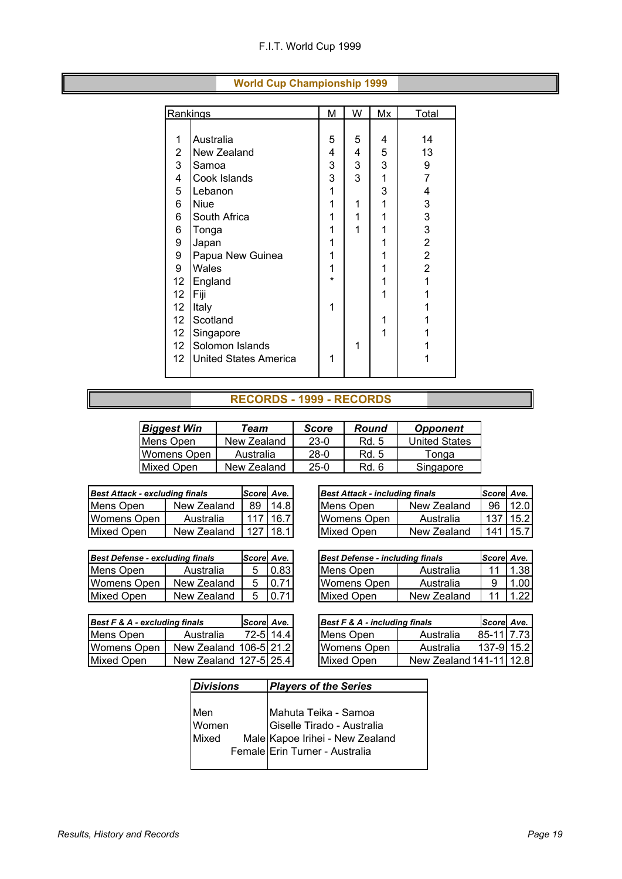| Rankings        |                              | M       | W | Mx | Total          |
|-----------------|------------------------------|---------|---|----|----------------|
|                 |                              |         |   |    |                |
| 1               | Australia                    | 5       | 5 | 4  | 14             |
| $\overline{c}$  | New Zealand                  | 4       | 4 | 5  | 13             |
| 3               | Samoa                        | 3       | 3 | 3  | 9              |
| 4               | Cook Islands                 | 3       | 3 | 1  | $\overline{7}$ |
| 5               | Lebanon                      | 1       |   | 3  | 4              |
| 6               | <b>Niue</b>                  | 1       | 1 | 1  | 3              |
| 6               | South Africa                 | 1       | 1 | 1  | 3              |
| 6               | Tonga                        | 1       | 1 | 1  | 3              |
| 9               | Japan                        | 1       |   |    | $\mathbf 2$    |
| 9               | Papua New Guinea             | 1       |   | 1  | $\overline{2}$ |
| 9               | Wales                        | 1       |   |    | $\overline{2}$ |
| 12              | England                      | $\star$ |   | 1  | 1              |
| 12              | Fiji                         |         |   |    | 1              |
| 12              | Italy                        | 1       |   |    | 1              |
| 12              | Scotland                     |         |   | 1  | 1              |
| 12 <sup>°</sup> | Singapore                    |         |   | 1  | 1              |
| 12 <sup>°</sup> | Solomon Islands              |         | 1 |    |                |
| 12 <sub>2</sub> | <b>United States America</b> | 1       |   |    | 1              |
|                 |                              |         |   |    |                |

#### **World Cup Championship 1999**

#### **RECORDS - 1999 - RECORDS**

| <b>Biggest Win</b> | Team        | Score  | Round | <b>Opponent</b>      |
|--------------------|-------------|--------|-------|----------------------|
| Mens Open          | New Zealand | $23-0$ | Rd. 5 | <b>United States</b> |
| Womens Open        | Australia   | $28-0$ | Rd. 5 | Tonga                |
| Mixed Open         | New Zealand | 25-0   | Rd. 6 | Singapore            |

| <b>Best Attack - excluding finals</b> |             | Scorel Ave. |      | <b>Best Attack - including finals</b> |             | Scorel Ave. |      |
|---------------------------------------|-------------|-------------|------|---------------------------------------|-------------|-------------|------|
| Mens Open                             | New Zealand | 89          | 14.8 | Mens Open                             | New Zealand | -96         | 12.0 |
| Womens Open                           | Australia   | 117         | 16.7 | <b>IWomens Open</b>                   | Australia   | 137         | 15.2 |
| Mixed Open                            | New Zealand | 127         | 18.1 | Mixed Open                            | New Zealand | 141   15.7  |      |

| <b>Best Defense - excluding finals</b> |             | Score Ave. |      |
|----------------------------------------|-------------|------------|------|
| Mens Open                              | Australia   | 5          | 0.83 |
| <b>Womens Open</b>                     | New Zealand | 5          | 0.71 |
| <b>Mixed Open</b>                      | New Zealand | 5          | 0.71 |

| Best Attack - excluding finals |             | Scorel Ave.      |      | <b>Best Attack - including finals</b> |             | Scorel Ave. |            |
|--------------------------------|-------------|------------------|------|---------------------------------------|-------------|-------------|------------|
| Mens Open                      | New Zealand | 89               | 14.8 | Mens Open                             | New Zealand | 96          | 12.0       |
| Womens Open                    | Australia   | 117 <sup>1</sup> | 16.7 | Womens Open                           | Australia   |             | 137   15.2 |
| Mixed Open                     | New Zealand | 127              | 18.1 | Mixed Open                            | New Zealand | 141 I       | 15.7       |

| <b>Best Defense - excluding finals</b> |             | Scorel Ave. |        | <b>Best Defense - including finals</b> |             | Scorel Ave. |      |
|----------------------------------------|-------------|-------------|--------|----------------------------------------|-------------|-------------|------|
| Mens Open                              | Australia   | 5           | 0.83   | Mens Open                              | Australia   |             | 1.38 |
| Womens Open                            | New Zealand | 5.          | 10.711 | Womens Open                            | Australia   |             | .001 |
| Mixed Open                             | New Zealand | .5          | 10.711 | Mixed Open                             | New Zealand |             | 1.22 |

| Best F & A - excluding finals |                         | Scorel Ave. I |            | <b>Best F &amp; A - including finals</b> |                         | Scorel Ave. |
|-------------------------------|-------------------------|---------------|------------|------------------------------------------|-------------------------|-------------|
| Mens Open                     | Australia               |               | 72-5114.41 | <b>IMens Open</b>                        | Australia               | 85-11 7.73  |
| Womens Open                   | New Zealand 106-5121.21 |               |            | <b>IWomens Open</b>                      | Australia               | 137-9 15.2  |
| <b>Mixed Open</b>             | New Zealand 127-5 25.4  |               |            | <b>IMixed Open</b>                       | New Zealand 141-11 12.8 |             |

| Best F & A - excluding finals |                         | Scorel Ave. |           | Best F & A - including finals |                           | Score Ave.  |  |
|-------------------------------|-------------------------|-------------|-----------|-------------------------------|---------------------------|-------------|--|
| Mens Open                     | Australia               |             | 72-5 14.4 | Mens Open                     | Australia                 | 85-1117.73  |  |
| Womens Open                   | New Zealand 106-5121.21 |             |           | Womens Open                   | Australia                 | 137-9115.21 |  |
| Mixed Open                    | New Zealand 127-5125.41 |             |           | Mixed Open                    | New Zealand 141-11   12.8 |             |  |

| <b>Divisions</b> |  | <b>Players of the Series</b>                                                          |  |  |  |  |
|------------------|--|---------------------------------------------------------------------------------------|--|--|--|--|
|                  |  |                                                                                       |  |  |  |  |
| Men              |  |                                                                                       |  |  |  |  |
| Women            |  | Mahuta Teika - Samoa<br>Giselle Tirado - Australia<br>Male Kapoe Irihei - New Zealand |  |  |  |  |
| Mixed            |  |                                                                                       |  |  |  |  |
|                  |  | Female Erin Turner - Australia                                                        |  |  |  |  |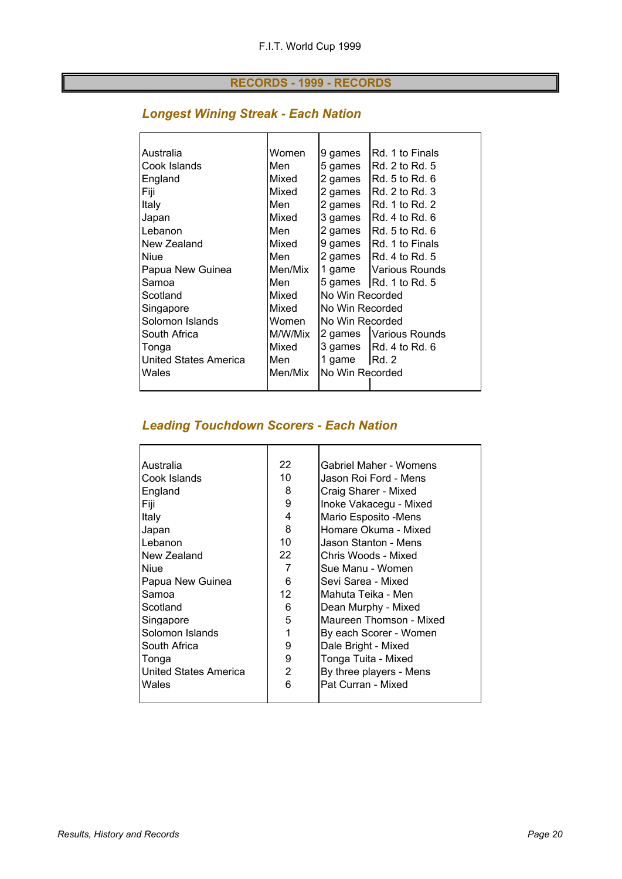#### **RECORDS - 1999 - RECORDS**

#### *Longest Wining Streak - Each Nation*

| Australia             | Women   | 9 games         | IRd. 1 to Finals                               |
|-----------------------|---------|-----------------|------------------------------------------------|
| Cook Islands          | Men     | 5 games         | IRd. 2 to Rd. 5                                |
| England               | Mixed   | 2 games         | IRd. 5 to Rd. 6                                |
| Fiji                  | Mixed   | 2 games         | IRd. 2 to Rd. 3                                |
| Italy                 | Men     | 2 games         | IRd. 1 to Rd. 2                                |
| Japan                 | Mixed   | 3 games         | IRd. 4 to Rd. 6                                |
| Lebanon               | Men     | 2 games         | $IRd. 5$ to Rd. $6$                            |
| New Zealand           | Mixed   | 9 games         | <b>IRd. 1 to Finals</b>                        |
| Niue                  | Men     | 2 games         | IRd. 4 to Rd. 5                                |
| Papua New Guinea      | Men/Mix | 1 game          | <b>Various Rounds</b>                          |
| Samoa                 | Men     |                 | 5 games $\vert$ Rd. 1 to Rd. 5                 |
| Scotland              | Mixed   | No Win Recorded |                                                |
| Singapore             | Mixed   | No Win Recorded |                                                |
| Solomon Islands       | Women   | No Win Recorded |                                                |
| South Africa          | M/W/Mix | 2 games         | Various Rounds                                 |
| Tonga                 | Mixed   |                 | 3 games $\left  \text{Rd. 4 to Rd. 6} \right $ |
| United States America | Men     | 1 game          | IRd.2                                          |
| Wales                 | Men/Mix | No Win Recorded |                                                |
|                       |         |                 |                                                |

#### *Leading Touchdown Scorers - Each Nation*

| Australia             | 22              | Gabriel Maher - Womens  |
|-----------------------|-----------------|-------------------------|
| Cook Islands          | 10              | Jason Roi Ford - Mens   |
| England               | 8               | Craig Sharer - Mixed    |
| Fiji                  | 9               | Inoke Vakacegu - Mixed  |
| Italy                 | 4               | Mario Esposito -Mens    |
| Japan                 | 8               | Homare Okuma - Mixed    |
| Lebanon               | 10 <sup>°</sup> | Jason Stanton - Mens    |
| New Zealand           | 22              | Chris Woods - Mixed     |
| <b>Niue</b>           | 7               | Sue Manu - Women        |
| Papua New Guinea      | 6               | Sevi Sarea - Mixed      |
| Samoa                 | 12 <sup>2</sup> | Mahuta Teika - Men      |
| Scotland              | 6               | Dean Murphy - Mixed     |
| Singapore             | 5               | Maureen Thomson - Mixed |
| Solomon Islands       | 1               | By each Scorer - Women  |
| South Africa          | 9               | Dale Bright - Mixed     |
| Tonga                 | 9               | Tonga Tuita - Mixed     |
| United States America | 2               | By three players - Mens |
| Wales                 | 6               | Pat Curran - Mixed      |
|                       |                 |                         |